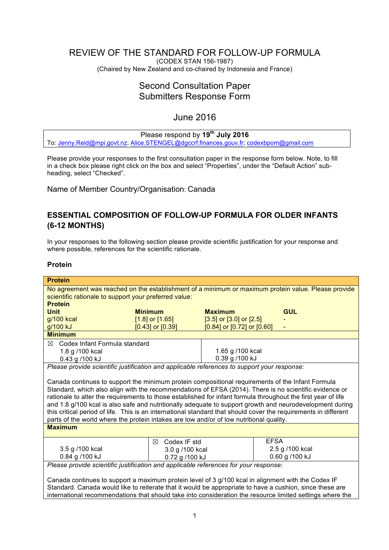# REVIEW OF THE STANDARD FOR FOLLOW-UP FORMULA

(CODEX STAN 156-1987) (Chaired by New Zealand and co-chaired by Indonesia and France)

# Second Consultation Paper Submitters Response Form

# June 2016

# Please respond by **19th July 2016**

To: [Jenny.Reid@mpi.govt.nz](mailto:Jenny.Reid@mpi.govt.nz); [Alice.STENGEL@dgccrf.finances.gouv.fr](mailto:Alice.STENGEL@dgccrf.finances.gouv.fr); [codexbpom@gmail.com](mailto:codexbpom@gmail.com)

Please provide your responses to the first consultation paper in the response form below. Note, to fill in a check box please right click on the box and select "Properties", under the "Default Action" subheading, select "Checked".

Name of Member Country/Organisation: Canada

# **ESSENTIAL COMPOSITION OF FOLLOW-UP FORMULA FOR OLDER INFANTS (6-12 MONTHS)**

In your responses to the following section please provide scientific justification for your response and where possible, references for the scientific rationale.

# **Protein**

| <b>Protein</b>                                                                                                                                                                                                                                                                                                                                                                                                                                                                                                                                                                                                                                        |                                  |                                    |             |  |
|-------------------------------------------------------------------------------------------------------------------------------------------------------------------------------------------------------------------------------------------------------------------------------------------------------------------------------------------------------------------------------------------------------------------------------------------------------------------------------------------------------------------------------------------------------------------------------------------------------------------------------------------------------|----------------------------------|------------------------------------|-------------|--|
| No agreement was reached on the establishment of a minimum or maximum protein value. Please provide                                                                                                                                                                                                                                                                                                                                                                                                                                                                                                                                                   |                                  |                                    |             |  |
| scientific rationale to support your preferred value:                                                                                                                                                                                                                                                                                                                                                                                                                                                                                                                                                                                                 |                                  |                                    |             |  |
| <b>Protein</b>                                                                                                                                                                                                                                                                                                                                                                                                                                                                                                                                                                                                                                        |                                  |                                    |             |  |
| <b>Unit</b>                                                                                                                                                                                                                                                                                                                                                                                                                                                                                                                                                                                                                                           | <b>Minimum</b>                   | <b>Maximum</b>                     | <b>GUL</b>  |  |
| g/100 kcal                                                                                                                                                                                                                                                                                                                                                                                                                                                                                                                                                                                                                                            | $[1.8]$ or $[1.65]$              | $[3.5]$ or $[3.0]$ or $[2.5]$      |             |  |
| g/100 kJ                                                                                                                                                                                                                                                                                                                                                                                                                                                                                                                                                                                                                                              | $[0.43]$ or $[0.39]$             | $[0.84]$ or $[0.72]$ or $[0.60]$   |             |  |
| <b>Minimum</b>                                                                                                                                                                                                                                                                                                                                                                                                                                                                                                                                                                                                                                        |                                  |                                    |             |  |
| $\boxtimes$ Codex Infant Formula standard                                                                                                                                                                                                                                                                                                                                                                                                                                                                                                                                                                                                             |                                  |                                    |             |  |
| 1.8 g /100 kcal                                                                                                                                                                                                                                                                                                                                                                                                                                                                                                                                                                                                                                       |                                  | 1.65 g /100 kcal                   |             |  |
| 0.43 g /100 kJ                                                                                                                                                                                                                                                                                                                                                                                                                                                                                                                                                                                                                                        |                                  | 0.39 g /100 kJ                     |             |  |
| Please provide scientific justification and applicable references to support your response:                                                                                                                                                                                                                                                                                                                                                                                                                                                                                                                                                           |                                  |                                    |             |  |
| Canada continues to support the minimum protein compositional requirements of the Infant Formula<br>Standard, which also align with the recommendations of EFSA (2014). There is no scientific evidence or<br>rationale to alter the requirements to those established for infant formula throughout the first year of life<br>and 1.8 g/100 kcal is also safe and nutritionally adequate to support growth and neurodevelopment during<br>this critical period of life. This is an international standard that should cover the requirements in different<br>parts of the world where the protein intakes are low and/or of low nutritional quality. |                                  |                                    |             |  |
| <b>Maximum</b>                                                                                                                                                                                                                                                                                                                                                                                                                                                                                                                                                                                                                                        |                                  |                                    |             |  |
|                                                                                                                                                                                                                                                                                                                                                                                                                                                                                                                                                                                                                                                       | Codex IF std<br>⊠                |                                    | <b>EFSA</b> |  |
| 3.5 g /100 kcal                                                                                                                                                                                                                                                                                                                                                                                                                                                                                                                                                                                                                                       |                                  | 2.5 g /100 kcal<br>3.0 g /100 kcal |             |  |
| 0.84 g /100 kJ                                                                                                                                                                                                                                                                                                                                                                                                                                                                                                                                                                                                                                        | 0.60 g /100 kJ<br>0.72 g /100 kJ |                                    |             |  |
| Please provide scientific justification and applicable references for your response:                                                                                                                                                                                                                                                                                                                                                                                                                                                                                                                                                                  |                                  |                                    |             |  |
| Canada continues to support a maximum protein level of 3 g/100 kcal in alignment with the Codex IF                                                                                                                                                                                                                                                                                                                                                                                                                                                                                                                                                    |                                  |                                    |             |  |
| Standard. Canada would like to reiterate that it would be appropriate to have a cushion, since these are                                                                                                                                                                                                                                                                                                                                                                                                                                                                                                                                              |                                  |                                    |             |  |

international recommendations that should take into consideration the resource limited settings where the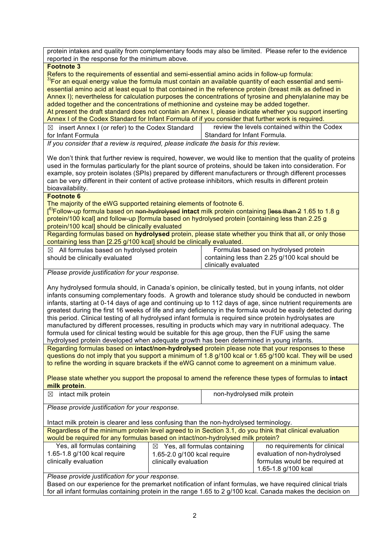protein intakes and quality from complementary foods may also be limited. Please refer to the evidence reported in the response for the minimum above.

#### **Footnote 3**

Refers to the requirements of essential and semi-essential amino acids in follow-up formula:<br><sup>3)</sup>For an equal energy value the formula must contain an available quantity of each essential and semiessential amino acid at least equal to that contained in the reference protein (breast milk as defined in Annex I); nevertheless for calculation purposes the concentrations of tyrosine and phenylalanine may be added together and the concentrations of methionine and cysteine may be added together. At present the draft standard does not contain an Annex I, please indicate whether you support inserting Annex I of the Codex Standard for Infant Formula of if you consider that further work is required.

 $\boxtimes$  insert Annex I (or refer) to the Codex Standard for Infant Formula review the levels contained within the Codex Standard for Infant Formula.

*If you consider that a review is required, please indicate the basis for this review.*

We don't think that further review is required, however, we would like to mention that the quality of proteins used in the formulas particularly for the plant source of proteins, should be taken into consideration. For example, soy protein isolates (SPIs) prepared by different manufacturers or through different processes can be very different in their content of active protease inhibitors, which results in different protein bioavailability.

#### **Footnote 6**

The majority of the eWG supported retaining elements of footnote 6.

[ 6)Follow-up formula based on non-hydrolysed **intact** milk protein containing [less than 2 1.65 to 1.8 g protein/100 kcal] and follow-up [formula based on hydrolysed protein [containing less than 2.25 g protein/100 kcal] should be clinically evaluated

Regarding formulas based on **hydrolysed** protein, please state whether you think that all, or only those containing less than [2.25 g/100 kcal] should be clinically evaluated.

| $\boxtimes$ All formulas based on hydrolysed protein | Formulas based on hydrolysed protein           |
|------------------------------------------------------|------------------------------------------------|
| should be clinically evaluated                       | containing less than 2.25 g/100 kcal should be |
|                                                      | clinically evaluated                           |

*Please provide justification for your response.*

Any hydrolysed formula should, in Canada's opinion, be clinically tested, but in young infants, not older infants consuming complementary foods. A growth and tolerance study should be conducted in newborn infants, starting at 0-14 days of age and continuing up to 112 days of age, since nutrient requirements are greatest during the first 16 weeks of life and any deficiency in the formula would be easily detected during this period. Clinical testing of all hydrolysed infant formula is required since protein hydrolysates are manufactured by different processes, resulting in products which may vary in nutritional adequacy. The formula used for clinical testing would be suitable for this age group, then the FUF using the same hydrolysed protein developed when adequate growth has been determined in young infants.

Regarding formulas based on **intact/non-hydrolysed** protein please note that your responses to these questions do not imply that you support a minimum of 1.8 g/100 kcal or 1.65 g/100 kcal. They will be used to refine the wording in square brackets if the eWG cannot come to agreement on a minimum value.

Please state whether you support the proposal to amend the reference these types of formulas to **intact milk protein**.

| $\boxtimes$ intact milk protein | non-hydrolysed milk protein |
|---------------------------------|-----------------------------|
|                                 |                             |

*Please provide justification for your response.*

Intact milk protein is clearer and less confusing than the non-hydrolysed terminology.

Regardless of the minimum protein level agreed to in Section 3.1, do you think that clinical evaluation would be required for any formulas based on intact/non-hydrolysed milk protein?

| Yes, all formulas containing | Yes, all formulas containing<br>$\bowtie$ | no requirements for clinical  |
|------------------------------|-------------------------------------------|-------------------------------|
| 1.65-1.8 g/100 kcal require  | 1.65-2.0 g/100 kcal require               | evaluation of non-hydrolysed  |
| clinically evaluation        | clinically evaluation                     | formulas would be required at |
|                              |                                           | 1.65-1.8 g/100 kcal           |

*Please provide justification for your response.*

Based on our experience for the premarket notification of infant formulas, we have required clinical trials for all infant formulas containing protein in the range 1.65 to 2 g/100 kcal. Canada makes the decision on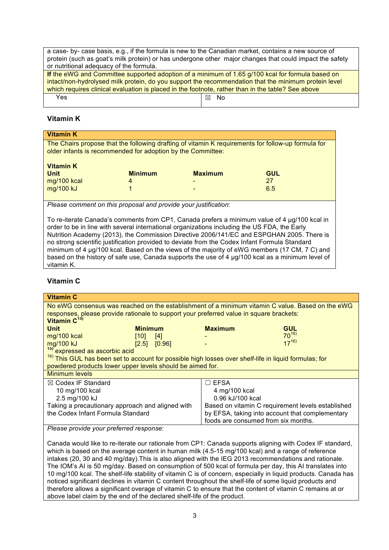a case- by- case basis, e.g., if the formula is new to the Canadian market, contains a new source of protein (such as goat's milk protein) or has undergone other major changes that could impact the safety or nutritional adequacy of the formula.

| If the eWG and Committee supported adoption of a minimum of 1.65 g/100 kcal for formula based on     |      |  |
|------------------------------------------------------------------------------------------------------|------|--|
| intact/non-hydrolysed milk protein, do you support the recommendation that the minimum protein level |      |  |
| which requires clinical evaluation is placed in the footnote, rather than in the table? See above    |      |  |
| Yes.                                                                                                 | ⊠ No |  |

# **Vitamin K**

| <b>Vitamin K</b>                                                                                                                                                  |                |                          |            |
|-------------------------------------------------------------------------------------------------------------------------------------------------------------------|----------------|--------------------------|------------|
| The Chairs propose that the following drafting of vitamin K requirements for follow-up formula for<br>older infants is recommended for adoption by the Committee: |                |                          |            |
| <b>Vitamin K</b><br><b>Unit</b>                                                                                                                                   | <b>Minimum</b> | <b>Maximum</b>           | <b>GUL</b> |
| mg/100 kcal                                                                                                                                                       | 4              | $\overline{\phantom{0}}$ | 27         |
| mg/100 kJ                                                                                                                                                         |                | $\overline{\phantom{0}}$ | 6.5        |

*Please comment on this proposal and provide your justification*:

To re-iterate Canada's comments from CP1, Canada prefers a minimum value of 4 µg/100 kcal in order to be in line with several international organizations including the US FDA, the Early Nutrition Academy (2013), the Commission Directive 2006/141/EC and ESPGHAN 2005. There is no strong scientific justification provided to deviate from the Codex Infant Formula Standard minimum of 4 ug/100 kcal. Based on the views of the majority of eWG members (17 CM, 7 C) and based on the history of safe use, Canada supports the use of 4  $\mu q/100$  kcal as a minimum level of vitamin K.

# **Vitamin C**

| <b>Vitamin C</b>                                                                                                 |                |                                                   |                                     |            |
|------------------------------------------------------------------------------------------------------------------|----------------|---------------------------------------------------|-------------------------------------|------------|
| No eWG consensus was reached on the establishment of a minimum vitamin C value. Based on the eWG                 |                |                                                   |                                     |            |
| responses, please provide rationale to support your preferred value in square brackets:                          |                |                                                   |                                     |            |
| Vitamin C <sup>15)</sup>                                                                                         |                |                                                   |                                     |            |
| <b>Unit</b>                                                                                                      | <b>Minimum</b> |                                                   | <b>Maximum</b>                      | <b>GUL</b> |
| mg/100 kcal                                                                                                      | [10]           | $[4]$                                             |                                     | $70^{16}$  |
| mg/100 kJ                                                                                                        | [2.5]          | [0.96]                                            |                                     | $17^{16}$  |
| <sup>15)</sup> expressed as ascorbic acid                                                                        |                |                                                   |                                     |            |
| <sup>16)</sup> This GUL has been set to account for possible high losses over shelf-life in liquid formulas; for |                |                                                   |                                     |            |
| powdered products lower upper levels should be aimed for.                                                        |                |                                                   |                                     |            |
| <b>Minimum levels</b>                                                                                            |                |                                                   |                                     |            |
| $\boxtimes$ Codex IF Standard                                                                                    |                |                                                   | $\sqsupset$ EFSA                    |            |
| 10 mg/100 kcal                                                                                                   |                |                                                   | 4 mg/100 kcal                       |            |
| 2.5 mg/100 kJ                                                                                                    |                |                                                   | 0.96 kJ/100 kcal                    |            |
| Taking a precautionary approach and aligned with                                                                 |                | Based on vitamin C requirement levels established |                                     |            |
| the Codex Infant Formula Standard                                                                                |                | by EFSA, taking into account that complementary   |                                     |            |
|                                                                                                                  |                |                                                   | foods are consumed from six months. |            |
| Please provide your preferred response:                                                                          |                |                                                   |                                     |            |

Canada would like to re-iterate our rationale from CP1: Canada supports aligning with Codex IF standard, which is based on the average content in human milk (4.5-15 mg/100 kcal) and a range of reference intakes (20, 30 and 40 mg/day).This is also aligned with the IEG 2013 recommendations and rationale. The IOM's AI is 50 mg/day. Based on consumption of 500 kcal of formula per day, this AI translates into 10 mg/100 kcal. The shelf-life stability of vitamin C is of concern, especially in liquid products. Canada has noticed significant declines in vitamin C content throughout the shelf-life of some liquid products and therefore allows a significant overage of vitamin C to ensure that the content of vitamin C remains at or above label claim by the end of the declared shelf-life of the product.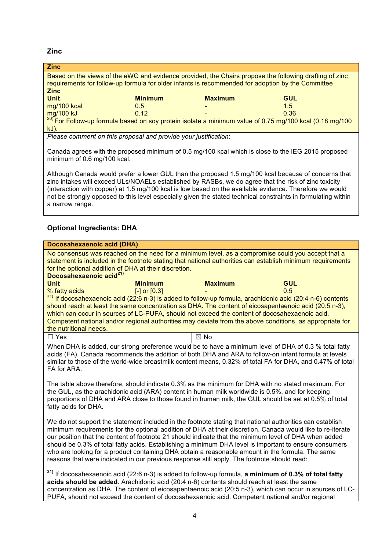**Zinc**

| <b>Zinc</b>                                                                                                        |                                                                                                        |                |            |  |
|--------------------------------------------------------------------------------------------------------------------|--------------------------------------------------------------------------------------------------------|----------------|------------|--|
|                                                                                                                    | Based on the views of the eWG and evidence provided, the Chairs propose the following drafting of zinc |                |            |  |
| requirements for follow-up formula for older infants is recommended for adoption by the Committee                  |                                                                                                        |                |            |  |
| <b>Zinc</b>                                                                                                        |                                                                                                        |                |            |  |
| <b>Unit</b>                                                                                                        | <b>Minimum</b>                                                                                         | <b>Maximum</b> | <b>GUL</b> |  |
| mg/100 kcal                                                                                                        | 0.5                                                                                                    |                | 1.5        |  |
| mg/100 kJ                                                                                                          | 0.12                                                                                                   |                | 0.36       |  |
| <sup>20)</sup> For Follow-up formula based on soy protein isolate a minimum value of 0.75 mg/100 kcal (0.18 mg/100 |                                                                                                        |                |            |  |
| $kJ$ ).                                                                                                            |                                                                                                        |                |            |  |
| Please comment on this proposal and provide your justification:                                                    |                                                                                                        |                |            |  |

Canada agrees with the proposed minimum of 0.5 mg/100 kcal which is close to the IEG 2015 proposed minimum of 0.6 mg/100 kcal.

Although Canada would prefer a lower GUL than the proposed 1.5 mg/100 kcal because of concerns that zinc intakes will exceed ULs/NOAELs established by RASBs, we do agree that the risk of zinc toxicity (interaction with copper) at 1.5 mg/100 kcal is low based on the available evidence. Therefore we would not be strongly opposed to this level especially given the stated technical constraints in formulating within a narrow range.

# **Optional Ingredients: DHA**

| Docosahexaenoic acid (DHA)                                                                                                                                                                                                                                                                                                                                                                                                                                                                                                                                                                                                                   |                |                   |  |  |
|----------------------------------------------------------------------------------------------------------------------------------------------------------------------------------------------------------------------------------------------------------------------------------------------------------------------------------------------------------------------------------------------------------------------------------------------------------------------------------------------------------------------------------------------------------------------------------------------------------------------------------------------|----------------|-------------------|--|--|
| No consensus was reached on the need for a minimum level, as a compromise could you accept that a<br>statement is included in the footnote stating that national authorities can establish minimum requirements<br>for the optional addition of DHA at their discretion.<br>Docosahexaenoic acid <sup>21)</sup>                                                                                                                                                                                                                                                                                                                              |                |                   |  |  |
| <b>Unit</b><br><b>Minimum</b><br>% fatty acids<br>$[-]$ or $[0.3]$                                                                                                                                                                                                                                                                                                                                                                                                                                                                                                                                                                           | <b>Maximum</b> | <b>GUL</b><br>0.5 |  |  |
| <sup>21)</sup> If docosahexaenoic acid (22:6 n-3) is added to follow-up formula, arachidonic acid (20:4 n-6) contents<br>should reach at least the same concentration as DHA. The content of eicosapentaenoic acid (20:5 n-3),                                                                                                                                                                                                                                                                                                                                                                                                               |                |                   |  |  |
| which can occur in sources of LC-PUFA, should not exceed the content of docosahexaenoic acid.<br>Competent national and/or regional authorities may deviate from the above conditions, as appropriate for<br>the nutritional needs.                                                                                                                                                                                                                                                                                                                                                                                                          |                |                   |  |  |
| $\Box$ Yes                                                                                                                                                                                                                                                                                                                                                                                                                                                                                                                                                                                                                                   | $\boxtimes$ No |                   |  |  |
| When DHA is added, our strong preference would be to have a minimum level of DHA of 0.3 % total fatty<br>acids (FA). Canada recommends the addition of both DHA and ARA to follow-on infant formula at levels<br>similar to those of the world-wide breastmilk content means, 0.32% of total FA for DHA, and 0.47% of total<br>FA for ARA.                                                                                                                                                                                                                                                                                                   |                |                   |  |  |
| The table above therefore, should indicate 0.3% as the minimum for DHA with no stated maximum. For<br>the GUL, as the arachidonic acid (ARA) content in human milk worldwide is 0.5%, and for keeping<br>proportions of DHA and ARA close to those found in human milk, the GUL should be set at 0.5% of total<br>fatty acids for DHA.                                                                                                                                                                                                                                                                                                       |                |                   |  |  |
| We do not support the statement included in the footnote stating that national authorities can establish<br>minimum requirements for the optional addition of DHA at their discretion. Canada would like to re-iterate<br>our position that the content of footnote 21 should indicate that the minimum level of DHA when added<br>should be 0.3% of total fatty acids. Establishing a minimum DHA level is important to ensure consumers<br>who are looking for a product containing DHA obtain a reasonable amount in the formula. The same<br>reasons that were indicated in our previous response still apply. The footnote should read: |                |                   |  |  |
| <sup>21)</sup> If docosahexaenoic acid (22:6 n-3) is added to follow-up formula, a minimum of 0.3% of total fatty<br>acids should be added. Arachidonic acid (20:4 n-6) contents should reach at least the same<br>concentration as DHA. The content of eicosapentaenoic acid (20:5 n-3), which can occur in sources of LC-<br>PUFA, should not exceed the content of docosahexaenoic acid. Competent national and/or regional                                                                                                                                                                                                               |                |                   |  |  |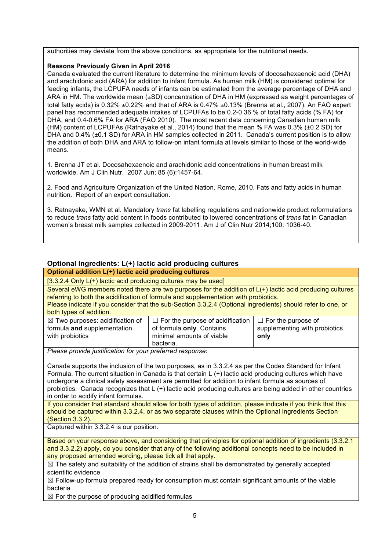authorities may deviate from the above conditions, as appropriate for the nutritional needs.

### **Reasons Previously Given in April 2016**

Canada evaluated the current literature to determine the minimum levels of docosahexaenoic acid (DHA) and arachidonic acid (ARA) for addition to infant formula. As human milk (HM) is considered optimal for feeding infants, the LCPUFA needs of infants can be estimated from the average percentage of DHA and ARA in HM. The worldwide mean  $(\pm SD)$  concentration of DHA in HM (expressed as weight percentages of total fatty acids) is 0.32%  $\pm$ 0.22% and that of ARA is 0.47%  $\pm$ 0.13% (Brenna et al., 2007). An FAO expert panel has recommended adequate intakes of LCPUFAs to be 0.2-0.36 % of total fatty acids (% FA) for DHA, and 0.4-0.6% FA for ARA (FAO 2010). The most recent data concerning Canadian human milk (HM) content of LCPUFAs (Ratnayake et al., 2014) found that the mean % FA was 0.3% (±0.2 SD) for DHA and 0.4% (±0.1 SD) for ARA in HM samples collected in 2011. Canada's current position is to allow the addition of both DHA and ARA to follow-on infant formula at levels similar to those of the world-wide means.

1. Brenna JT et al. Docosahexaenoic and arachidonic acid concentrations in human breast milk worldwide. Am J Clin Nutr. 2007 Jun; 85 (6):1457-64.

2. Food and Agriculture Organization of the United Nation. Rome, 2010. Fats and fatty acids in human nutrition. Report of an expert consultation.

3. Ratnayake, WMN et al. Mandatory *trans* fat labelling regulations and nationwide product reformulations to reduce *trans* fatty acid content in foods contributed to lowered concentrations of *trans* fat in Canadian women's breast milk samples collected in 2009-2011. Am J of Clin Nutr 2014;100: 1036-40.

# **Optional Ingredients: L(+) lactic acid producing cultures**

**Optional addition L(+) lactic acid producing cultures**

[3.3.2.4 Only L(+) lactic acid producing cultures may be used]

Several eWG members noted there are two purposes for the addition of L(+) lactic acid producing cultures referring to both the acidification of formula and supplementation with probiotics.

Please indicate if you consider that the sub-Section 3.3.2.4 (Optional ingredients) should refer to one, or both types of addition.

| $\boxtimes$ Two purposes: acidification of | $\Box$ For the purpose of acidification | $\Box$ For the purpose of     |
|--------------------------------------------|-----------------------------------------|-------------------------------|
| formula and supplementation                | of formula only. Contains               | supplementing with probiotics |
| with probiotics                            | minimal amounts of viable               | only                          |
|                                            | bacteria.                               |                               |

*Please provide justification for your preferred response*:

Canada supports the inclusion of the two purposes, as in 3.3.2.4 as per the Codex Standard for Infant Formula. The current situation in Canada is that certain L (+) lactic acid producing cultures which have undergone a clinical safety assessment are permitted for addition to infant formula as sources of probiotics. Canada recognizes that L (+) lactic acid producing cultures are being added in other countries in order to acidify infant formulas.

If you consider that standard should allow for both types of addition, please indicate if you think that this should be captured within 3.3.2.4, or as two separate clauses within the Optional Ingredients Section (Section 3.3.2).

Captured within 3.3.2.4 is our position.

Based on your response above, and considering that principles for optional addition of ingredients (3.3.2.1 and 3.3.2.2) apply, do you consider that any of the following additional concepts need to be included in any proposed amended wording, please tick all that apply.

 $\boxtimes$  The safety and suitability of the addition of strains shall be demonstrated by generally accepted scientific evidence

 $\boxtimes$  Follow-up formula prepared ready for consumption must contain significant amounts of the viable bacteria

 $\boxtimes$  For the purpose of producing acidified formulas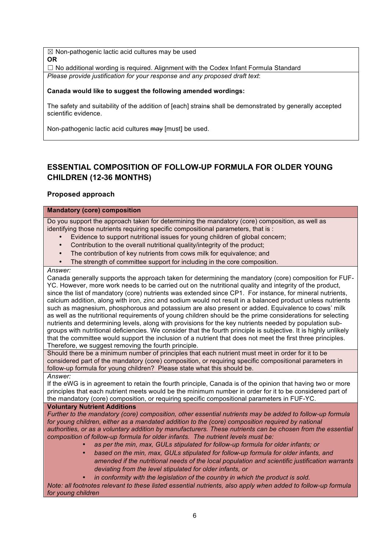$\boxtimes$  Non-pathogenic lactic acid cultures may be used **OR**

 $\Box$  No additional wording is required. Alignment with the Codex Infant Formula Standard *Please provide justification for your response and any proposed draft text*:

# **Canada would like to suggest the following amended wordings:**

The safety and suitability of the addition of [each] strains shall be demonstrated by generally accepted scientific evidence.

Non-pathogenic lactic acid cultures may Imustl be used.

# **ESSENTIAL COMPOSITION OF FOLLOW-UP FORMULA FOR OLDER YOUNG CHILDREN (12-36 MONTHS)**

# **Proposed approach**

# **Mandatory (core) composition**

Do you support the approach taken for determining the mandatory (core) composition, as well as identifying those nutrients requiring specific compositional parameters, that is :

- Evidence to support nutritional issues for young children of global concern;
- Contribution to the overall nutritional quality/integrity of the product;
- The contribution of key nutrients from cows milk for equivalence; and
- The strength of committee support for including in the core composition.

#### *Answer:*

Canada generally supports the approach taken for determining the mandatory (core) composition for FUF-YC. However, more work needs to be carried out on the nutritional quality and integrity of the product, since the list of mandatory (core) nutrients was extended since CP1. For instance, for mineral nutrients, calcium addition, along with iron, zinc and sodium would not result in a balanced product unless nutrients such as magnesium, phosphorous and potassium are also present or added. Equivalence to cows' milk as well as the nutritional requirements of young children should be the prime considerations for selecting nutrients and determining levels, along with provisions for the key nutrients needed by population subgroups with nutritional deficiencies. We consider that the fourth principle is subjective. It is highly unlikely that the committee would support the inclusion of a nutrient that does not meet the first three principles. Therefore, we suggest removing the fourth principle.

Should there be a minimum number of principles that each nutrient must meet in order for it to be considered part of the mandatory (core) composition, or requiring specific compositional parameters in follow-up formula for young children? Please state what this should be.

*Answer:*

If the eWG is in agreement to retain the fourth principle, Canada is of the opinion that having two or more principles that each nutrient meets would be the minimum number in order for it to be considered part of the mandatory (core) composition, or requiring specific compositional parameters in FUF-YC.

#### **Voluntary Nutrient Additions**

*Further to the mandatory (core) composition, other essential nutrients may be added to follow-up formula*  for young children, either as a mandated addition to the (core) composition required by national *authorities, or as a voluntary addition by manufacturers. These nutrients can be chosen from the essential composition of follow-up formula for older infants. The nutrient levels must be:*

- as per the min, max, GULs stipulated for follow-up formula for older infants; or
- *based on the min, max, GULs stipulated for follow-up formula for older infants, and amended if the nutritional needs of the local population and scientific justification warrants deviating from the level stipulated for older infants, or*
- *in conformity with the legislation of the country in which the product is sold.*

*Note: all footnotes relevant to these listed essential nutrients, also apply when added to follow-up formula for young children*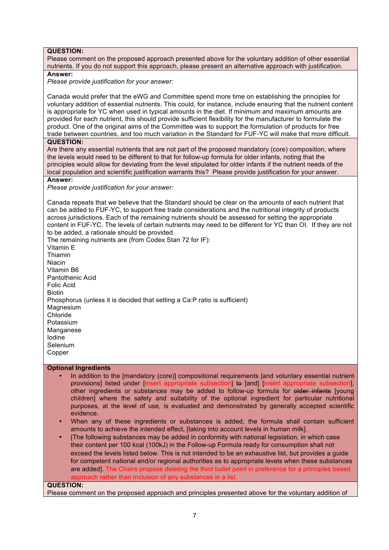## **QUESTION:**

Please comment on the proposed approach presented above for the voluntary addition of other essential nutrients. If you do not support this approach, please present an alternative approach with justification.

**Answer:**

*Please provide justification for your answer:*

Canada would prefer that the eWG and Committee spend more time on establishing the principles for voluntary addition of essential nutrients. This could, for instance, include ensuring that the nutrient content is appropriate for YC when used in typical amounts in the diet. If minimum and maximum amounts are provided for each nutrient, this should provide sufficient flexibility for the manufacturer to formulate the product. One of the original aims of the Committee was to support the formulation of products for free trade between countries, and too much variation in the Standard for FUF-YC will make that more difficult.

**QUESTION:**

Are there any essential nutrients that are not part of the proposed mandatory (core) composition, where the levels would need to be different to that for follow-up formula for older infants, noting that the principles would allow for deviating from the level stipulated for older infants if the nutrient needs of the local population and scientific justification warrants this? Please provide justification for your answer.

#### **Answer:**

*Please provide justification for your answer:*

Canada repeats that we believe that the Standard should be clear on the amounts of each nutrient that can be added to FUF-YC, to support free trade considerations and the nutritional integrity of products across jurisdictions. Each of the remaining nutrients should be assessed for setting the appropriate content in FUF-YC. The levels of certain nutrients may need to be different for YC than OI. If they are not to be added, a rationale should be provided.

The remaining nutrients are (from Codex Stan 72 for IF): Vitamin E Thiamin Niacin Vitamin B6 Pantothenic Acid Folic Acid **Biotin** Phosphorus (unless it is decided that setting a Ca:P ratio is sufficient) **Magnesium** Chloride Potassium **Manganese** Iodine Selenium Copper

#### **Optional Ingredients**

- In addition to the [mandatory (core)] compositional requirements [and voluntary essential nutrient provisions] listed under [insert appropriate subsection] to [and] [insert appropriate subsection], other ingredients or substances may be added to follow-up formula for older infants [young children] where the safety and suitability of the optional ingredient for particular nutritional purposes, at the level of use, is evaluated and demonstrated by generally accepted scientific evidence.
- When any of these ingredients or substances is added, the formula shall contain sufficient amounts to achieve the intended effect, [taking into account levels in human milk].
- [The following substances may be added in conformity with national legislation, in which case their content per 100 kcal (100kJ) in the Follow-up Formula ready for consumption shall not exceed the levels listed below. This is not intended to be an exhaustive list, but provides a guide for competent national and/or regional authorities as to appropriate levels when these substances are added]. The Chairs propose deleting the third bullet point in preference for a principles based approach rather than inclusion of any substances in a list.

## **QUESTION:**

Please comment on the proposed approach and principles presented above for the voluntary addition of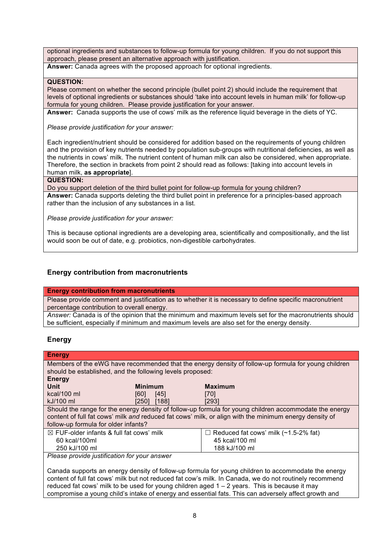optional ingredients and substances to follow-up formula for young children. If you do not support this approach, please present an alternative approach with justification.

**Answer:** Canada agrees with the proposed approach for optional ingredients.

### **QUESTION:**

Please comment on whether the second principle (bullet point 2) should include the requirement that levels of optional ingredients or substances should 'take into account levels in human milk' for follow-up formula for young children. Please provide justification for your answer.

**Answer:** Canada supports the use of cows' milk as the reference liquid beverage in the diets of YC.

*Please provide justification for your answer:*

Each ingredient/nutrient should be considered for addition based on the requirements of young children and the provision of key nutrients needed by population sub-groups with nutritional deficiencies, as well as the nutrients in cows' milk. The nutrient content of human milk can also be considered, when appropriate. Therefore, the section in brackets from point 2 should read as follows: [taking into account levels in human milk, **as appropriate**].

#### **QUESTION:**

Do you support deletion of the third bullet point for follow-up formula for young children? **Answer:** Canada supports deleting the third bullet point in preference for a principles-based approach rather than the inclusion of any substances in a list.

*Please provide justification for your answer:*

This is because optional ingredients are a developing area, scientifically and compositionally, and the list would soon be out of date, e.g. probiotics, non-digestible carbohydrates.

# **Energy contribution from macronutrients**

#### **Energy contribution from macronutrients**

Please provide comment and justification as to whether it is necessary to define specific macronutrient percentage contribution to overall energy.

*Answer:* Canada is of the opinion that the minimum and maximum levels set for the macronutrients should be sufficient, especially if minimum and maximum levels are also set for the energy density.

## **Energy**

| <b>Energy</b>                                                                                          |                                                           |                                                                                                     |  |
|--------------------------------------------------------------------------------------------------------|-----------------------------------------------------------|-----------------------------------------------------------------------------------------------------|--|
|                                                                                                        |                                                           | Members of the eWG have recommended that the energy density of follow-up formula for young children |  |
|                                                                                                        | should be established, and the following levels proposed: |                                                                                                     |  |
| <b>Energy</b>                                                                                          |                                                           |                                                                                                     |  |
| Unit                                                                                                   | <b>Minimum</b>                                            | <b>Maximum</b>                                                                                      |  |
| $kcal/100$ ml                                                                                          | [60]<br>[45]                                              | $[70]$                                                                                              |  |
| kJ/100 ml                                                                                              | [188]<br>[250]                                            | [293]                                                                                               |  |
| Should the range for the energy density of follow-up formula for young children accommodate the energy |                                                           |                                                                                                     |  |
| content of full fat cows' milk and reduced fat cows' milk, or align with the minimum energy density of |                                                           |                                                                                                     |  |
| follow-up formula for older infants?                                                                   |                                                           |                                                                                                     |  |
| $\boxtimes$ FUF-older infants & full fat cows' milk                                                    |                                                           | $\Box$ Reduced fat cows' milk (~1.5-2% fat)                                                         |  |
| 60 kcal/100ml                                                                                          |                                                           | 45 kcal/100 ml                                                                                      |  |
| 250 kJ/100 ml                                                                                          |                                                           | 188 kJ/100 ml                                                                                       |  |

*Please provide justification for your answer*

Canada supports an energy density of follow-up formula for young children to accommodate the energy content of full fat cows' milk but not reduced fat cow's milk. In Canada, we do not routinely recommend reduced fat cows' milk to be used for young children aged  $1 - 2$  years. This is because it may compromise a young child's intake of energy and essential fats. This can adversely affect growth and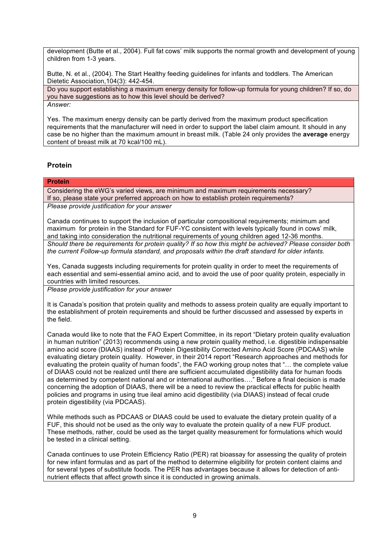development (Butte et al., 2004). Full fat cows' milk supports the normal growth and development of young children from 1-3 years.

Butte, N. et al., (2004). The Start Healthy feeding guidelines for infants and toddlers. The American Dietetic Association,104(3): 442-454.

Do you support establishing a maximum energy density for follow-up formula for young children? If so, do you have suggestions as to how this level should be derived? *Answer:*

Yes. The maximum energy density can be partly derived from the maximum product specification requirements that the manufacturer will need in order to support the label claim amount. It should in any case be no higher than the maximum amount in breast milk. (Table 24 only provides the **average** energy content of breast milk at 70 kcal/100 mL).

# **Protein**

#### **Protein**

Considering the eWG's varied views, are minimum and maximum requirements necessary? If so, please state your preferred approach on how to establish protein requirements? *Please provide justification for your answer*

Canada continues to support the inclusion of particular compositional requirements; minimum and maximum for protein in the Standard for FUF-YC consistent with levels typically found in cows' milk, and taking into consideration the nutritional requirements of young children aged 12-36 months. *Should there be requirements for protein quality? If so how this might be achieved? Please consider both the current Follow-up formula standard, and proposals within the draft standard for older infants.*

Yes, Canada suggests including requirements for protein quality in order to meet the requirements of each essential and semi-essential amino acid, and to avoid the use of poor quality protein, especially in countries with limited resources.

*Please provide justification for your answer*

It is Canada's position that protein quality and methods to assess protein quality are equally important to the establishment of protein requirements and should be further discussed and assessed by experts in the field.

Canada would like to note that the FAO Expert Committee, in its report "Dietary protein quality evaluation in human nutrition" (2013) recommends using a new protein quality method, i.e. digestible indispensable amino acid score (DIAAS) instead of Protein Digestibility Corrected Amino Acid Score (PDCAAS) while evaluating dietary protein quality. However, in their 2014 report "Research approaches and methods for evaluating the protein quality of human foods", the FAO working group notes that "… the complete value of DIAAS could not be realized until there are sufficient accumulated digestibility data for human foods as determined by competent national and or international authorities…." Before a final decision is made concerning the adoption of DIAAS, there will be a need to review the practical effects for public health policies and programs in using true ileal amino acid digestibility (via DIAAS) instead of fecal crude protein digestibility (via PDCAAS).

While methods such as PDCAAS or DIAAS could be used to evaluate the dietary protein quality of a FUF, this should not be used as the only way to evaluate the protein quality of a new FUF product. These methods, rather, could be used as the target quality measurement for formulations which would be tested in a clinical setting.

Canada continues to use Protein Efficiency Ratio (PER) rat bioassay for assessing the quality of protein for new infant formulas and as part of the method to determine eligibility for protein content claims and for several types of substitute foods. The PER has advantages because it allows for detection of antinutrient effects that affect growth since it is conducted in growing animals.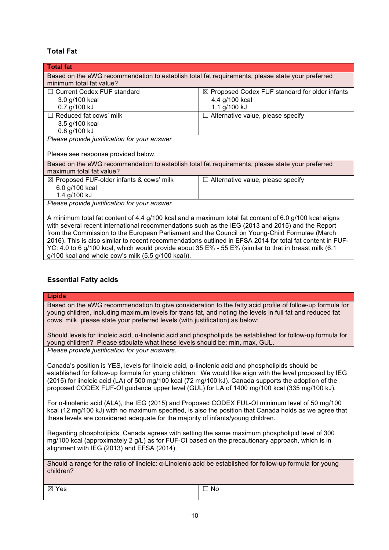# **Total Fat**

| Based on the eWG recommendation to establish total fat requirements, please state your preferred                                                                                                           |  |  |  |
|------------------------------------------------------------------------------------------------------------------------------------------------------------------------------------------------------------|--|--|--|
|                                                                                                                                                                                                            |  |  |  |
| $\boxtimes$ Proposed Codex FUF standard for older infants                                                                                                                                                  |  |  |  |
| 4.4 g/100 kcal                                                                                                                                                                                             |  |  |  |
| 1.1 g/100 kJ                                                                                                                                                                                               |  |  |  |
| $\Box$ Alternative value, please specify                                                                                                                                                                   |  |  |  |
|                                                                                                                                                                                                            |  |  |  |
|                                                                                                                                                                                                            |  |  |  |
|                                                                                                                                                                                                            |  |  |  |
|                                                                                                                                                                                                            |  |  |  |
| Based on the eWG recommendation to establish total fat requirements, please state your preferred                                                                                                           |  |  |  |
| maximum total fat value?                                                                                                                                                                                   |  |  |  |
| $\Box$ Alternative value, please specify                                                                                                                                                                   |  |  |  |
|                                                                                                                                                                                                            |  |  |  |
| 1.4 g/100 kJ                                                                                                                                                                                               |  |  |  |
| Please provide justification for your answer                                                                                                                                                               |  |  |  |
|                                                                                                                                                                                                            |  |  |  |
| A minimum total fat content of 4.4 g/100 kcal and a maximum total fat content of 6.0 g/100 kcal aligns<br>with several recent international recommendations such as the IEG (2013 and 2015) and the Report |  |  |  |
| from the Commission to the European Parliament and the Council on Young-Child Formulae (March                                                                                                              |  |  |  |
|                                                                                                                                                                                                            |  |  |  |

2016). This is also similar to recent recommendations outlined in EFSA 2014 for total fat content in FUF-YC: 4.0 to 6 g/100 kcal, which would provide about 35 E% - 55 E% (similar to that in breast milk (6.1 g/100 kcal and whole cow's milk (5.5 g/100 kcal)).

# **Essential Fatty acids**

## **Lipids**

Based on the eWG recommendation to give consideration to the fatty acid profile of follow-up formula for young children, including maximum levels for trans fat, and noting the levels in full fat and reduced fat cows' milk, please state your preferred levels (with justification) as below:

Should levels for linoleic acid, α-linolenic acid and phospholipids be established for follow-up formula for young children? Please stipulate what these levels should be; min, max, GUL. *Please provide justification for your answers.*

Canada's position is YES, levels for linoleic acid, α-linolenic acid and phospholipids should be established for follow-up formula for young children. We would like align with the level proposed by IEG (2015) for linoleic acid (LA) of 500 mg/100 kcal (72 mg/100 kJ). Canada supports the adoption of the proposed CODEX FUF-OI guidance upper level (GUL) for LA of 1400 mg/100 kcal (335 mg/100 kJ).

For α-linolenic acid (ALA), the IEG (2015) and Proposed CODEX FUL-OI minimum level of 50 mg/100 kcal (12 mg/100 kJ) with no maximum specified, is also the position that Canada holds as we agree that these levels are considered adequate for the majority of infants/young children.

Regarding phospholipids, Canada agrees with setting the same maximum phospholipid level of 300 mg/100 kcal (approximately 2 g/L) as for FUF-OI based on the precautionary approach, which is in alignment with IEG (2013) and EFSA (2014).

Should a range for the ratio of linoleic: α-Linolenic acid be established for follow-up formula for young children?

 $\boxtimes$  Yes  $|\square$  No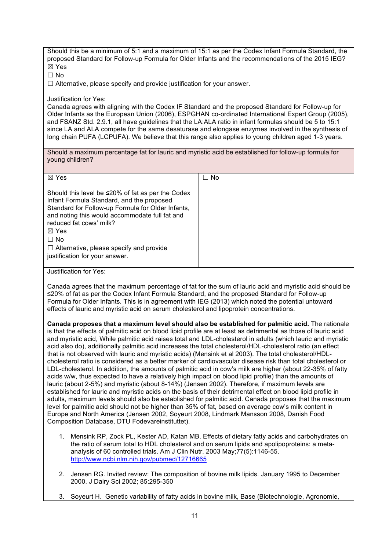Should this be a minimum of 5:1 and a maximum of 15:1 as per the Codex Infant Formula Standard, the proposed Standard for Follow-up Formula for Older Infants and the recommendations of the 2015 IEG? ☒ Yes

 $\Box$  No

☐ Alternative, please specify and provide justification for your answer.

#### Justification for Yes:

Canada agrees with aligning with the Codex IF Standard and the proposed Standard for Follow-up for Older Infants as the European Union (2006), ESPGHAN co-ordinated International Expert Group (2005), and FSANZ Std. 2.9.1, all have guidelines that the LA:ALA ratio in infant formulas should be 5 to 15:1 since LA and ALA compete for the same desaturase and elongase enzymes involved in the synthesis of long chain PUFA (LCPUFA). We believe that this range also applies to young children aged 1-3 years.

Should a maximum percentage fat for lauric and myristic acid be established for follow-up formula for young children?

| $\boxtimes$ Yes                                                                                                                                                                                                                                                                                                                                            | $\Box$ No |
|------------------------------------------------------------------------------------------------------------------------------------------------------------------------------------------------------------------------------------------------------------------------------------------------------------------------------------------------------------|-----------|
| Should this level be $\leq$ 20% of fat as per the Codex<br>Infant Formula Standard, and the proposed<br>Standard for Follow-up Formula for Older Infants,<br>and noting this would accommodate full fat and<br>reduced fat cows' milk?<br>$\boxtimes$ Yes<br>$\Box$ No<br>$\Box$ Alternative, please specify and provide<br>justification for your answer. |           |

#### Justification for Yes:

Canada agrees that the maximum percentage of fat for the sum of lauric acid and myristic acid should be ≤20% of fat as per the Codex Infant Formula Standard, and the proposed Standard for Follow-up Formula for Older Infants. This is in agreement with IEG (2013) which noted the potential untoward effects of lauric and myristic acid on serum cholesterol and lipoprotein concentrations.

**Canada proposes that a maximum level should also be established for palmitic acid.** The rationale is that the effects of palmitic acid on blood lipid profile are at least as detrimental as those of lauric acid and myristic acid, While palmitic acid raises total and LDL-cholesterol in adults (which lauric and myristic acid also do), additionally palmitic acid increases the total cholesterol/HDL-cholesterol ratio (an effect that is not observed with lauric and myristic acids) (Mensink et al 2003). The total cholesterol/HDLcholesterol ratio is considered as a better marker of cardiovascular disease risk than total cholesterol or LDL-cholesterol. In addition, the amounts of palmitic acid in cow's milk are higher (about 22-35% of fatty acids w/w, thus expected to have a relatively high impact on blood lipid profile) than the amounts of lauric (about 2-5%) and myristic (about 8-14%) (Jensen 2002). Therefore, if maximum levels are established for lauric and myristic acids on the basis of their detrimental effect on blood lipid profile in adults, maximum levels should also be established for palmitic acid. Canada proposes that the maximum level for palmitic acid should not be higher than 35% of fat, based on average cow's milk content in Europe and North America (Jensen 2002, Soyeurt 2008, Lindmark Mansson 2008, Danish Food Composition Database, DTU Fodevareinstituttet).

- 1. Mensink RP, Zock PL, Kester AD, Katan MB. Effects of dietary fatty acids and carbohydrates on the ratio of serum total to HDL cholesterol and on serum lipids and apolipoproteins: a metaanalysis of 60 controlled trials. Am J Clin Nutr. 2003 May;77(5):1146-55. <http://www.ncbi.nlm.nih.gov/pubmed/12716665>
- 2. Jensen RG. Invited review: The composition of bovine milk lipids. January 1995 to December 2000. J Dairy Sci 2002; 85:295-350
- 3. Soyeurt H. Genetic variability of fatty acids in bovine milk, Base (Biotechnologie, Agronomie,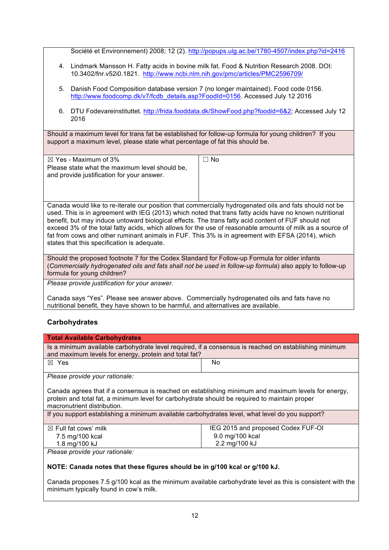Société et Environnement) 2008; 12 (2).<http://popups.ulg.ac.be/1780-4507/index.php?id=2416>

- 4. Lindmark Mansson H. Fatty acids in bovine milk fat. Food & Nutrition Research 2008. DOI: 10.3402/fnr.v52i0.1821. <http://www.ncbi.nlm.nih.gov/pmc/articles/PMC2596709/>
- 5. Danish Food Composition database version 7 (no longer maintained). Food code 0156. [http://www.foodcomp.dk/v7/fcdb\\_details.asp?FoodId=0156](http://www.foodcomp.dk/v7/fcdb_details.asp?FoodId=0156). Accessed July 12 2016
- 6. DTU Fodevareinstituttet.<http://frida.fooddata.dk/ShowFood.php?foodid=6&2>; Accessed July 12 2016

Should a maximum level for trans fat be established for follow-up formula for young children? If you support a maximum level, please state what percentage of fat this should be.

| $\boxtimes$ Yes - Maximum of 3%                | No |
|------------------------------------------------|----|
| Please state what the maximum level should be, |    |
| and provide justification for your answer.     |    |
|                                                |    |
|                                                |    |

Canada would like to re-iterate our position that commercially hydrogenated oils and fats should not be used. This is in agreement with IEG (2013) which noted that trans fatty acids have no known nutritional benefit, but may induce untoward biological effects. The trans fatty acid content of FUF should not exceed 3% of the total fatty acids, which allows for the use of reasonable amounts of milk as a source of fat from cows and other ruminant animals in FUF. This 3% is in agreement with EFSA (2014), which states that this specification is adequate.

Should the proposed footnote 7 for the Codex Standard for Follow-up Formula for older infants (*Commercially hydrogenated oils and fats shall not be used in follow-up formula*) also apply to follow-up formula for young children?

*Please provide justification for your answer.*

Canada says "Yes". Please see answer above. Commercially hydrogenated oils and fats have no nutritional benefit, they have shown to be harmful, and alternatives are available.

# **Carbohydrates**

| <b>Total Available Carbohydrates</b>                                                                                                                                                                                                |                                    |  |  |
|-------------------------------------------------------------------------------------------------------------------------------------------------------------------------------------------------------------------------------------|------------------------------------|--|--|
| Is a minimum available carbohydrate level required, if a consensus is reached on establishing minimum<br>and maximum levels for energy, protein and total fat?                                                                      |                                    |  |  |
| $\boxtimes$ Yes                                                                                                                                                                                                                     | No.                                |  |  |
| Please provide your rationale:                                                                                                                                                                                                      |                                    |  |  |
| Canada agrees that if a consensus is reached on establishing minimum and maximum levels for energy,<br>protein and total fat, a minimum level for carbohydrate should be required to maintain proper<br>macronutrient distribution. |                                    |  |  |
| If you support establishing a minimum available carbohydrates level, what level do you support?                                                                                                                                     |                                    |  |  |
| $\boxtimes$ Full fat cows' milk                                                                                                                                                                                                     | IEG 2015 and proposed Codex FUF-OI |  |  |
| 7.5 mg/100 kcal                                                                                                                                                                                                                     | 9.0 mg/100 kcal                    |  |  |
| 1.8 mg/100 kJ                                                                                                                                                                                                                       | 2.2 mg/100 kJ                      |  |  |
| Please provide your rationale:                                                                                                                                                                                                      |                                    |  |  |
| NOTE: Canada notes that these figures should be in g/100 kcal or g/100 kJ.                                                                                                                                                          |                                    |  |  |

Canada proposes 7.5 g/100 kcal as the minimum available carbohydrate level as this is consistent with the minimum typically found in cow's milk.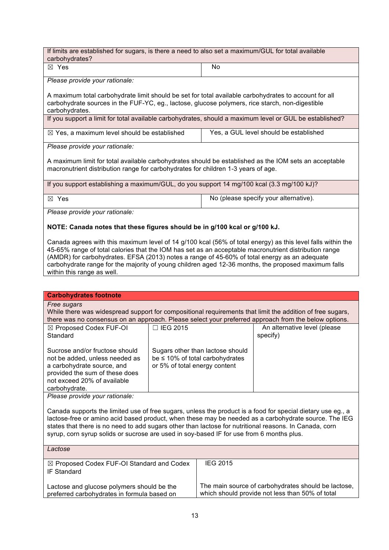If limits are established for sugars, is there a need to also set a maximum/GUL for total available carbohydrates?  $\boxtimes$  Yes  $\qquad \qquad$  No

*Please provide your rationale:*

A maximum total carbohydrate limit should be set for total available carbohydrates to account for all carbohydrate sources in the FUF-YC, eg., lactose, glucose polymers, rice starch, non-digestible carbohydrates.

If you support a limit for total available carbohydrates, should a maximum level or GUL be established?

| $\boxtimes$ Yes, a maximum level should be established | Yes, a GUL level should be established |
|--------------------------------------------------------|----------------------------------------|
|--------------------------------------------------------|----------------------------------------|

*Please provide your rationale:*

A maximum limit for total available carbohydrates should be established as the IOM sets an acceptable macronutrient distribution range for carbohydrates for children 1-3 years of age.

If you support establishing a maximum/GUL, do you support 14 mg/100 kcal (3.3 mg/100 kJ)?

 $\boxtimes$  Yes  $\boxtimes$  Yes  $\boxtimes$  Yes  $\boxtimes$  Yes  $\boxtimes$  Yes  $\boxtimes$  Yes  $\boxtimes$  Yes  $\boxtimes$  Yes  $\boxtimes$  Yes  $\boxtimes$  Yes  $\boxtimes$  Yes  $\boxtimes$  Yes  $\boxtimes$  Yes  $\boxtimes$  Yes  $\boxtimes$  Yes  $\boxtimes$  Yes  $\boxtimes$  Yes  $\boxtimes$  Yes  $\boxtimes$  Yes  $\boxtimes$  Yes  $\boxtimes$  Yes  $\boxtimes$  Yes

*Please provide your rationale:*

### **NOTE: Canada notes that these figures should be in g/100 kcal or g/100 kJ.**

Canada agrees with this maximum level of 14 g/100 kcal (56% of total energy) as this level falls within the 45-65% range of total calories that the IOM has set as an acceptable macronutrient distribution range (AMDR) for carbohydrates. EFSA (2013) notes a range of 45-60% of total energy as an adequate carbohydrate range for the majority of young children aged 12-36 months, the proposed maximum falls within this range as well.

| <b>Carbohydrates footnote</b>                                                                                                                                                                                                                                                                                                                                                                                             |                                                                                                           |                 |                                          |
|---------------------------------------------------------------------------------------------------------------------------------------------------------------------------------------------------------------------------------------------------------------------------------------------------------------------------------------------------------------------------------------------------------------------------|-----------------------------------------------------------------------------------------------------------|-----------------|------------------------------------------|
| Free sugars<br>While there was widespread support for compositional requirements that limit the addition of free sugars,<br>there was no consensus on an approach. Please select your preferred approach from the below options.                                                                                                                                                                                          |                                                                                                           |                 |                                          |
| ⊠ Proposed Codex FUF-OI<br>Standard                                                                                                                                                                                                                                                                                                                                                                                       | $\Box$ IEG 2015                                                                                           |                 | An alternative level (please<br>specify) |
| Sucrose and/or fructose should<br>not be added, unless needed as<br>a carbohydrate source, and<br>provided the sum of these does<br>not exceed 20% of available<br>carbohydrate.                                                                                                                                                                                                                                          | Sugars other than lactose should<br>be $\leq$ 10% of total carbohydrates<br>or 5% of total energy content |                 |                                          |
| Please provide your rationale:                                                                                                                                                                                                                                                                                                                                                                                            |                                                                                                           |                 |                                          |
| Canada supports the limited use of free sugars, unless the product is a food for special dietary use eg., a<br>lactose-free or amino acid based product, when these may be needed as a carbohydrate source. The IEG<br>states that there is no need to add sugars other than lactose for nutritional reasons. In Canada, corn<br>syrup, corn syrup solids or sucrose are used in soy-based IF for use from 6 months plus. |                                                                                                           |                 |                                          |
| Lactose                                                                                                                                                                                                                                                                                                                                                                                                                   |                                                                                                           |                 |                                          |
| ⊠ Proposed Codex FUF-OI Standard and Codex<br><b>IF Standard</b>                                                                                                                                                                                                                                                                                                                                                          |                                                                                                           | <b>IEG 2015</b> |                                          |
| Lactose and glucose polymers should be the<br>preferred carbohydrates in formula based on                                                                                                                                                                                                                                                                                                                                 | The main source of carbohydrates should be lactose,<br>which should provide not less than 50% of total    |                 |                                          |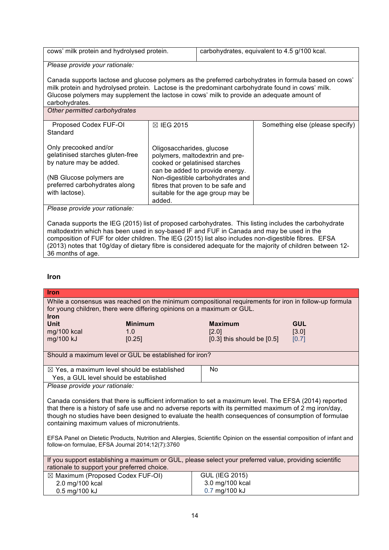| cows' milk protein and hydrolysed protein.                                                                                                                                                                                                                                                                                 |                                                                                                                                                                       | carbohydrates, equivalent to 4.5 g/100 kcal.                           |                                 |  |
|----------------------------------------------------------------------------------------------------------------------------------------------------------------------------------------------------------------------------------------------------------------------------------------------------------------------------|-----------------------------------------------------------------------------------------------------------------------------------------------------------------------|------------------------------------------------------------------------|---------------------------------|--|
| Please provide your rationale:                                                                                                                                                                                                                                                                                             |                                                                                                                                                                       |                                                                        |                                 |  |
| Canada supports lactose and glucose polymers as the preferred carbohydrates in formula based on cows'<br>milk protein and hydrolysed protein. Lactose is the predominant carbohydrate found in cows' milk.<br>Glucose polymers may supplement the lactose in cows' milk to provide an adequate amount of<br>carbohydrates. |                                                                                                                                                                       |                                                                        |                                 |  |
| Other permitted carbohydrates                                                                                                                                                                                                                                                                                              |                                                                                                                                                                       |                                                                        |                                 |  |
| Proposed Codex FUF-OI<br>Standard                                                                                                                                                                                                                                                                                          | <b>⊠ IEG 2015</b>                                                                                                                                                     |                                                                        | Something else (please specify) |  |
| Only precooked and/or<br>gelatinised starches gluten-free<br>by nature may be added.<br>(NB Glucose polymers are                                                                                                                                                                                                           | Oligosaccharides, glucose<br>polymers, maltodextrin and pre-<br>cooked or gelatinised starches<br>can be added to provide energy.<br>Non-digestible carbohydrates and |                                                                        |                                 |  |
| preferred carbohydrates along<br>with lactose).                                                                                                                                                                                                                                                                            | added.                                                                                                                                                                | fibres that proven to be safe and<br>suitable for the age group may be |                                 |  |

*Please provide your rationale:*

Canada supports the IEG (2015) list of proposed carbohydrates. This listing includes the carbohydrate maltodextrin which has been used in soy-based IF and FUF in Canada and may be used in the composition of FUF for older children. The IEG (2015) list also includes non-digestible fibres. EFSA (2013) notes that 10g/day of dietary fibre is considered adequate for the majority of children between 12- 36 months of age.

## **Iron**

| <b>Iron</b>                                                                                                                                                                                                                                                                                                                                                              |                                         |  |  |
|--------------------------------------------------------------------------------------------------------------------------------------------------------------------------------------------------------------------------------------------------------------------------------------------------------------------------------------------------------------------------|-----------------------------------------|--|--|
| While a consensus was reached on the minimum compositional requirements for iron in follow-up formula<br>for young children, there were differing opinions on a maximum or GUL.<br><b>Iron</b>                                                                                                                                                                           |                                         |  |  |
| Unit<br><b>Minimum</b>                                                                                                                                                                                                                                                                                                                                                   | <b>GUL</b><br><b>Maximum</b>            |  |  |
| mg/100 kcal<br>1.0                                                                                                                                                                                                                                                                                                                                                       | [3.0]<br>[2.0]                          |  |  |
| mg/100 kJ<br>[0.25]                                                                                                                                                                                                                                                                                                                                                      | $[0.3]$ this should be $[0.5]$<br>[0.7] |  |  |
| Should a maximum level or GUL be established for iron?                                                                                                                                                                                                                                                                                                                   |                                         |  |  |
| $\boxtimes$ Yes, a maximum level should be established<br>Yes, a GUL level should be established                                                                                                                                                                                                                                                                         | No                                      |  |  |
| Please provide your rationale:                                                                                                                                                                                                                                                                                                                                           |                                         |  |  |
| Canada considers that there is sufficient information to set a maximum level. The EFSA (2014) reported<br>that there is a history of safe use and no adverse reports with its permitted maximum of 2 mg iron/day,<br>though no studies have been designed to evaluate the health consequences of consumption of formulae<br>containing maximum values of micronutrients. |                                         |  |  |
| EFSA Panel on Dietetic Products, Nutrition and Allergies, Scientific Opinion on the essential composition of infant and<br>follow-on formulae, EFSA Journal 2014;12(7):3760                                                                                                                                                                                              |                                         |  |  |
| If you support establishing a maximum or GUL, please select your preferred value, providing scientific<br>rationale to support your preferred choice.                                                                                                                                                                                                                    |                                         |  |  |
| ⊠ Maximum (Proposed Codex FUF-OI)                                                                                                                                                                                                                                                                                                                                        | <b>GUL (IEG 2015)</b>                   |  |  |
| 2.0 mg/100 kcal                                                                                                                                                                                                                                                                                                                                                          | 3.0 mg/100 kcal                         |  |  |
| 0.5 mg/100 kJ                                                                                                                                                                                                                                                                                                                                                            | 0.7 mg/100 kJ                           |  |  |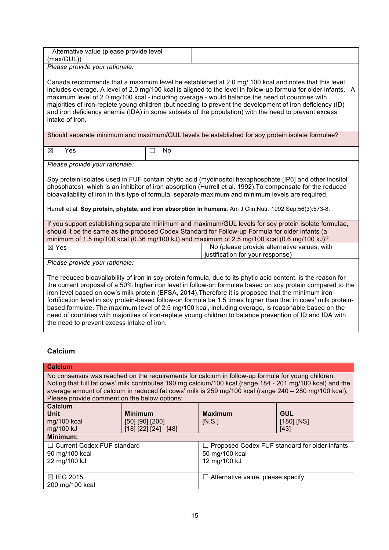| Alternative value (please provide level |  |
|-----------------------------------------|--|
| (max/GUL))                              |  |
| Please provide your rationale:          |  |

Canada recommends that a maximum level be established at 2.0 mg/ 100 kcal and notes that this level includes overage. A level of 2.0 mg/100 kcal is aligned to the level in follow-up formula for older infants. A maximum level of 2.0 mg/100 kcal - including overage - would balance the need of countries with majorities of iron-replete young children (but needing to prevent the development of iron deficiency (ID) and iron deficiency anemia (IDA) in some subsets of the population) with the need to prevent excess

Should separate minimum and maximum/GUL levels be established for soy protein isolate formulae?

 $\boxtimes$  Yes  $\Box$  No

intake of iron.

*Please provide your rationale:*

Soy protein isolates used in FUF contain phytic acid (myoinositol hexaphosphate [IP6] and other inositol phosphates), which is an inhibitor of iron absorption (Hurrell et al. 1992).To compensate for the reduced bioavailability of iron in this type of formula, separate maximum and minimum levels are required.

Hurrell et al. **Soy protein, phytate, and iron absorption in humans**. Am J Clin Nutr. 1992 Sep;56(3):573-8.

If you support establishing separate minimum and maximum/GUL levels for soy protein isolate formulae, should it be the same as the proposed Codex Standard for Follow-up Formula for older infants (a minimum of 1.5 mg/100 kcal (0.36 mg/100 kJ) and maximum of 2.5 mg/100 kcal (0.6 mg/100 kJ)?  $\boxtimes$  Yes  $\boxtimes$  Yes  $\boxtimes$  Yes  $\boxtimes$  No (please provide alternative values, with

justification for your response)

*Please provide your rationale:*

The reduced bioavailability of iron in soy protein formula, due to its phytic acid content, is the reason for the current proposal of a 50% higher iron level in follow-on formulae based on soy protein compared to the iron level based on cow's milk protein (EFSA, 2014).Therefore it is proposed that the minimum iron fortification level in soy protein-based follow-on formula be 1.5 times higher than that in cows' milk proteinbased formulae. The maximum level of 2.5 mg/100 kcal, including overage, is reasonable based on the need of countries with majorities of iron-replete young children to balance prevention of ID and IDA with the need to prevent excess intake of iron.

# **Calcium**

| <b>Calcium</b>                                                                                                                                                                                                                                                                                                                                                          |                                                                |                                                                                        |                                      |
|-------------------------------------------------------------------------------------------------------------------------------------------------------------------------------------------------------------------------------------------------------------------------------------------------------------------------------------------------------------------------|----------------------------------------------------------------|----------------------------------------------------------------------------------------|--------------------------------------|
| No consensus was reached on the requirements for calcium in follow-up formula for young children.<br>Noting that full fat cows' milk contributes 190 mg calcium/100 kcal (range 184 - 201 mg/100 kcal) and the<br>average amount of calcium in reduced fat cows' milk is 259 mg/100 kcal (range 240 - 280 mg/100 kcal),<br>Please provide comment on the below options: |                                                                |                                                                                        |                                      |
| Calcium<br>Unit<br>mg/100 kcal<br>mg/100 kJ                                                                                                                                                                                                                                                                                                                             | <b>Minimum</b><br>$[50]$ $[90]$ $[200]$<br>[18] [22] [24] [48] | <b>Maximum</b><br>[N.S.]                                                               | <b>GUL</b><br>$[180]$ $[NS]$<br>[43] |
| Minimum:<br>□ Current Codex FUF standard<br>90 mg/100 kcal<br>22 mg/100 kJ                                                                                                                                                                                                                                                                                              |                                                                | $\Box$ Proposed Codex FUF standard for older infants<br>50 mg/100 kcal<br>12 mg/100 kJ |                                      |
| ⊠ IEG 2015<br>200 mg/100 kcal                                                                                                                                                                                                                                                                                                                                           |                                                                | $\Box$ Alternative value, please specify                                               |                                      |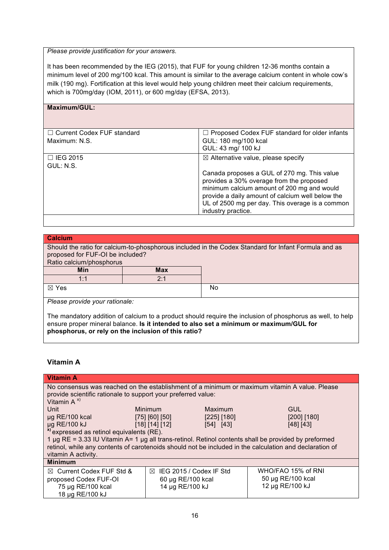#### *Please provide justification for your answers.*

It has been recommended by the IEG (2015), that FUF for young children 12-36 months contain a minimum level of 200 mg/100 kcal. This amount is similar to the average calcium content in whole cow's milk (190 mg). Fortification at this level would help young children meet their calcium requirements, which is 700mg/day (IOM, 2011), or 600 mg/day (EFSA, 2013).

| Maximum/GUL:                      |                                                                                                                                                                                                                                                                    |
|-----------------------------------|--------------------------------------------------------------------------------------------------------------------------------------------------------------------------------------------------------------------------------------------------------------------|
|                                   |                                                                                                                                                                                                                                                                    |
| $\Box$ Current Codex FUF standard | $\Box$ Proposed Codex FUF standard for older infants                                                                                                                                                                                                               |
| Maximum: N.S.                     | GUL: 180 mg/100 kcal                                                                                                                                                                                                                                               |
|                                   | GUL: 43 mg/ 100 kJ                                                                                                                                                                                                                                                 |
| $\Box$ IEG 2015                   | $\boxtimes$ Alternative value, please specify                                                                                                                                                                                                                      |
| GUL: N.S.                         |                                                                                                                                                                                                                                                                    |
|                                   | Canada proposes a GUL of 270 mg. This value<br>provides a 30% overage from the proposed<br>minimum calcium amount of 200 mg and would<br>provide a daily amount of calcium well below the<br>UL of 2500 mg per day. This overage is a common<br>industry practice. |
|                                   |                                                                                                                                                                                                                                                                    |

#### **Calcium**

Should the ratio for calcium-to-phosphorous included in the Codex Standard for Infant Formula and as proposed for FUF-OI be included?

| Min             | <b>Max</b>    |    |
|-----------------|---------------|----|
| 1.1<br>.        | 0.1<br>$\sim$ |    |
| $\boxtimes$ Yes |               | No |

*Please provide your rationale:*

The mandatory addition of calcium to a product should require the inclusion of phosphorus as well, to help ensure proper mineral balance. **Is it intended to also set a minimum or maximum/GUL for phosphorus, or rely on the inclusion of this ratio?**

# **Vitamin A**

| <b>Vitamin A</b>                                                                                               |                                     |             |                    |
|----------------------------------------------------------------------------------------------------------------|-------------------------------------|-------------|--------------------|
| No consensus was reached on the establishment of a minimum or maximum vitamin A value. Please                  |                                     |             |                    |
| provide scientific rationale to support your preferred value:                                                  |                                     |             |                    |
| Vitamin $A^{x}$                                                                                                |                                     |             |                    |
| Unit                                                                                                           | Minimum                             | Maximum     | <b>GUL</b>         |
| $\mu$ g RE/100 kcal                                                                                            | $[75]$ $[60]$ $[50]$                | [225] [180] | $[200]$ [180]      |
| µg RE/100 kJ                                                                                                   | [18] [14] [12]                      | [54] [43]   | [48] [43]          |
| <sup>x)</sup> expressed as retinol equivalents (RE).                                                           |                                     |             |                    |
| 1 $\mu$ g RE = 3.33 IU Vitamin A= 1 $\mu$ g all trans-retinol. Retinol contents shall be provided by preformed |                                     |             |                    |
| retinol, while any contents of carotenoids should not be included in the calculation and declaration of        |                                     |             |                    |
| vitamin A activity.                                                                                            |                                     |             |                    |
| <b>Minimum</b>                                                                                                 |                                     |             |                    |
| ⊠ Current Codex FUF Std &                                                                                      | $\boxtimes$ IEG 2015 / Codex IF Std |             | WHO/FAO 15% of RNI |
| proposed Codex FUF-OI                                                                                          | 60 µg RE/100 kcal                   |             | 50 µg RE/100 kcal  |
| 75 µg RE/100 kcal                                                                                              | 14 µg RE/100 kJ                     |             | 12 µg RE/100 kJ    |
| 18 µg RE/100 kJ                                                                                                |                                     |             |                    |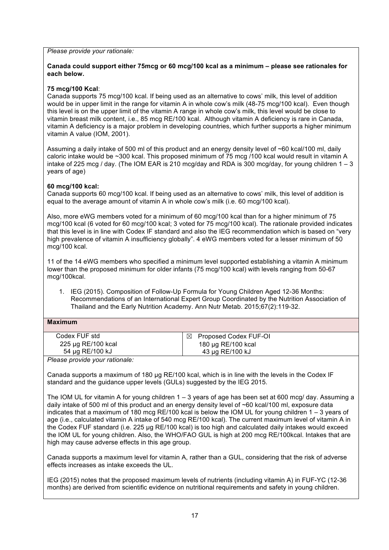*Please provide your rationale:*

### **Canada could support either 75mcg or 60 mcg/100 kcal as a minimum – please see rationales for each below.**

### **75 mcg/100 Kcal**:

Canada supports 75 mcg/100 kcal. If being used as an alternative to cows' milk, this level of addition would be in upper limit in the range for vitamin A in whole cow's milk (48-75 mcg/100 kcal). Even though this level is on the upper limit of the vitamin A range in whole cow's milk, this level would be close to vitamin breast milk content, i.e., 85 mcg RE/100 kcal. Although vitamin A deficiency is rare in Canada, vitamin A deficiency is a major problem in developing countries, which further supports a higher minimum vitamin A value (IOM, 2001).

Assuming a daily intake of 500 ml of this product and an energy density level of ~60 kcal/100 ml, daily caloric intake would be ~300 kcal. This proposed minimum of 75 mcg /100 kcal would result in vitamin A intake of 225 mcg / day. (The IOM EAR is 210 mcg/day and RDA is 300 mcg/day, for young children  $1 - 3$ years of age)

## **60 mcg/100 kcal:**

Canada supports 60 mcg/100 kcal. If being used as an alternative to cows' milk, this level of addition is equal to the average amount of vitamin A in whole cow's milk (i.e. 60 mcg/100 kcal).

Also, more eWG members voted for a minimum of 60 mcg/100 kcal than for a higher minimum of 75 mcg/100 kcal (6 voted for 60 mcg/100 kcal; 3 voted for 75 mcg/100 kcal). The rationale provided indicates that this level is in line with Codex IF standard and also the IEG recommendation which is based on "very high prevalence of vitamin A insufficiency globally". 4 eWG members voted for a lesser minimum of 50 mcg/100 kcal.

11 of the 14 eWG members who specified a minimum level supported establishing a vitamin A minimum lower than the proposed minimum for older infants (75 mcg/100 kcal) with levels ranging from 50-67 mcg/100kcal.

1. IEG (2015). Composition of Follow-Up Formula for Young Children Aged 12-36 Months: Recommendations of an International Expert Group Coordinated by the Nutrition Association of Thailand and the Early Nutrition Academy. [Ann Nutr Metab.](http://www.ncbi.nlm.nih.gov/pubmed/?term=composition+of+follow-up+formula+for+young+children+aged+12-36+months) 2015;67(2):119-32.

### **Maximum**

| Codex FUF std      | Proposed Codex FUF-OI<br>$\boxtimes$ |
|--------------------|--------------------------------------|
| 225 µg RE/100 kcal | 180 µg RE/100 kcal                   |
| 54 µg RE/100 kJ    | $43 \mu$ g RE/100 kJ                 |

*Please provide your rationale:*

Canada supports a maximum of 180 µg RE/100 kcal, which is in line with the levels in the Codex IF standard and the guidance upper levels (GULs) suggested by the IEG 2015.

The IOM UL for vitamin A for young children 1 – 3 years of age has been set at 600 mcg/ day. Assuming a daily intake of 500 ml of this product and an energy density level of ~60 kcal/100 ml, exposure data indicates that a maximum of 180 mcg RE/100 kcal is below the IOM UL for young children 1 – 3 years of age (i.e., calculated vitamin A intake of 540 mcg RE/100 kcal). The current maximum level of vitamin A in the Codex FUF standard (i.e. 225 µg RE/100 kcal) is too high and calculated daily intakes would exceed the IOM UL for young children. Also, the WHO/FAO GUL is high at 200 mcg RE/100kcal. Intakes that are high may cause adverse effects in this age group.

Canada supports a maximum level for vitamin A, rather than a GUL, considering that the risk of adverse effects increases as intake exceeds the UL.

IEG (2015) notes that the proposed maximum levels of nutrients (including vitamin A) in FUF-YC (12-36 months) are derived from scientific evidence on nutritional requirements and safety in young children.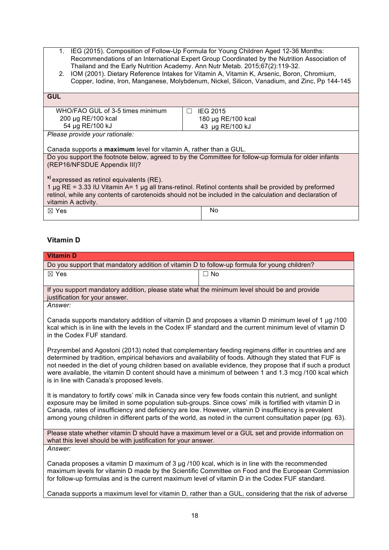- 1. IEG (2015). Composition of Follow-Up Formula for Young Children Aged 12-36 Months: Recommendations of an International Expert Group Coordinated by the Nutrition Association of Thailand and the Early Nutrition Academy. [Ann Nutr Metab.](http://www.ncbi.nlm.nih.gov/pubmed/?term=composition+of+follow-up+formula+for+young+children+aged+12-36+months) 2015;67(2):119-32.
- 2. IOM (2001). Dietary Reference Intakes for Vitamin A, Vitamin K, Arsenic, Boron, Chromium, Copper, Iodine, Iron, Manganese, Molybdenum, Nickel, Silicon, Vanadium, and Zinc, Pp 144-145

| <b>GUL</b>                                                                                                                                                                                                                                                                                               |                    |  |
|----------------------------------------------------------------------------------------------------------------------------------------------------------------------------------------------------------------------------------------------------------------------------------------------------------|--------------------|--|
| WHO/FAO GUL of 3-5 times minimum                                                                                                                                                                                                                                                                         | <b>IEG 2015</b>    |  |
| 200 µg RE/100 kcal                                                                                                                                                                                                                                                                                       | 180 µg RE/100 kcal |  |
| 54 µg RE/100 kJ                                                                                                                                                                                                                                                                                          | 43 µg RE/100 kJ    |  |
| Please provide your rationale:                                                                                                                                                                                                                                                                           |                    |  |
|                                                                                                                                                                                                                                                                                                          |                    |  |
| Canada supports a maximum level for vitamin A, rather than a GUL.                                                                                                                                                                                                                                        |                    |  |
| Do you support the footnote below, agreed to by the Committee for follow-up formula for older infants                                                                                                                                                                                                    |                    |  |
| (REP16/NFSDUE Appendix III)?                                                                                                                                                                                                                                                                             |                    |  |
| <sup>x)</sup> expressed as retinol equivalents (RE).<br>1 $\mu$ g RE = 3.33 IU Vitamin A= 1 $\mu$ g all trans-retinol. Retinol contents shall be provided by preformed<br>retinol, while any contents of carotenoids should not be included in the calculation and declaration of<br>vitamin A activity. |                    |  |
| $\boxtimes$ Yes                                                                                                                                                                                                                                                                                          | No                 |  |

# **Vitamin D**

| <b>Vitamin D</b>                                                                                                                                                                                                                                                                                                                                                                                                                                                                   |                                                                                                   |
|------------------------------------------------------------------------------------------------------------------------------------------------------------------------------------------------------------------------------------------------------------------------------------------------------------------------------------------------------------------------------------------------------------------------------------------------------------------------------------|---------------------------------------------------------------------------------------------------|
| Do you support that mandatory addition of vitamin D to follow-up formula for young children?                                                                                                                                                                                                                                                                                                                                                                                       |                                                                                                   |
| ⊠ Yes                                                                                                                                                                                                                                                                                                                                                                                                                                                                              | $\Box$ No                                                                                         |
| If you support mandatory addition, please state what the minimum level should be and provide<br>justification for your answer.                                                                                                                                                                                                                                                                                                                                                     |                                                                                                   |
| Answer:                                                                                                                                                                                                                                                                                                                                                                                                                                                                            |                                                                                                   |
| Canada supports mandatory addition of vitamin D and proposes a vitamin D minimum level of 1 µg /100<br>kcal which is in line with the levels in the Codex IF standard and the current minimum level of vitamin D<br>in the Codex FUF standard.                                                                                                                                                                                                                                     |                                                                                                   |
| Przyrembel and Agostoni (2013) noted that complementary feeding regimens differ in countries and are<br>determined by tradition, empirical behaviors and availability of foods. Although they stated that FUF is<br>not needed in the diet of young children based on available evidence, they propose that if such a product<br>were available, the vitamin D content should have a minimum of between 1 and 1.3 mcg /100 kcal which<br>is in line with Canada's proposed levels. |                                                                                                   |
| It is mandatory to fortify cows' milk in Canada since very few foods contain this nutrient, and sunlight<br>exposure may be limited in some population sub-groups. Since cows' milk is fortified with vitamin D in<br>Canada, rates of insufficiency and deficiency are low. However, vitamin D insufficiency is prevalent<br>among young children in different parts of the world, as noted in the current consultation paper (pg. 63).                                           |                                                                                                   |
| Please state whether vitamin D should have a maximum level or a GUL set and provide information on<br>what this level should be with justification for your answer.                                                                                                                                                                                                                                                                                                                |                                                                                                   |
| Answer:                                                                                                                                                                                                                                                                                                                                                                                                                                                                            |                                                                                                   |
| Canada proposes a vitamin D maximum of 3 µg /100 kcal, which is in line with the recommended<br>for follow-up formulas and is the current maximum level of vitamin D in the Codex FUF standard.                                                                                                                                                                                                                                                                                    | maximum levels for vitamin D made by the Scientific Committee on Food and the European Commission |
|                                                                                                                                                                                                                                                                                                                                                                                                                                                                                    | <u>i i ifinitale di American di Libert</u>                                                        |

Canada supports a maximum level for vitamin D, rather than a GUL, considering that the risk of adverse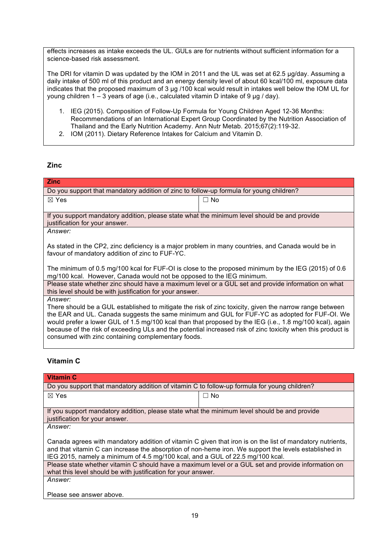effects increases as intake exceeds the UL. GULs are for nutrients without sufficient information for a science-based risk assessment.

The DRI for vitamin D was updated by the IOM in 2011 and the UL was set at 62.5 µg/day. Assuming a daily intake of 500 ml of this product and an energy density level of about 60 kcal/100 ml, exposure data indicates that the proposed maximum of 3 µg /100 kcal would result in intakes well below the IOM UL for young children  $1 - 3$  years of age (i.e., calculated vitamin D intake of 9 µg / day).

- 1. IEG (2015). Composition of Follow-Up Formula for Young Children Aged 12-36 Months: Recommendations of an International Expert Group Coordinated by the Nutrition Association of Thailand and the Early Nutrition Academy. [Ann Nutr Metab.](http://www.ncbi.nlm.nih.gov/pubmed/?term=composition+of+follow-up+formula+for+young+children+aged+12-36+months) 2015;67(2):119-32.
- 2. IOM (2011). Dietary Reference Intakes for Calcium and Vitamin D.

# **Zinc**

| <b>Zinc</b>                                                                                                                                                                                                                                                                                                                                                                                   |           |  |
|-----------------------------------------------------------------------------------------------------------------------------------------------------------------------------------------------------------------------------------------------------------------------------------------------------------------------------------------------------------------------------------------------|-----------|--|
| Do you support that mandatory addition of zinc to follow-up formula for young children?                                                                                                                                                                                                                                                                                                       |           |  |
| $\boxtimes$ Yes                                                                                                                                                                                                                                                                                                                                                                               | $\Box$ No |  |
|                                                                                                                                                                                                                                                                                                                                                                                               |           |  |
| If you support mandatory addition, please state what the minimum level should be and provide<br>justification for your answer.                                                                                                                                                                                                                                                                |           |  |
| <i>Answer:</i>                                                                                                                                                                                                                                                                                                                                                                                |           |  |
| As stated in the CP2, zinc deficiency is a major problem in many countries, and Canada would be in<br>favour of mandatory addition of zinc to FUF-YC.                                                                                                                                                                                                                                         |           |  |
| The minimum of 0.5 mg/100 kcal for FUF-OI is close to the proposed minimum by the IEG (2015) of 0.6                                                                                                                                                                                                                                                                                           |           |  |
| Please state whether zinc should have a maximum level or a GUL set and provide information on what<br>this level should be with justification for your answer.                                                                                                                                                                                                                                |           |  |
| Answer:                                                                                                                                                                                                                                                                                                                                                                                       |           |  |
|                                                                                                                                                                                                                                                                                                                                                                                               |           |  |
|                                                                                                                                                                                                                                                                                                                                                                                               |           |  |
| because of the risk of exceeding ULs and the potential increased risk of zinc toxicity when this product is                                                                                                                                                                                                                                                                                   |           |  |
| mg/100 kcal. However, Canada would not be opposed to the IEG minimum.<br>There should be a GUL established to mitigate the risk of zinc toxicity, given the narrow range between<br>the EAR and UL. Canada suggests the same minimum and GUL for FUF-YC as adopted for FUF-OI. We<br>would prefer a lower GUL of 1.5 mg/100 kcal than that proposed by the IEG (i.e., 1.8 mg/100 kcal), again |           |  |

# **Vitamin C**

consumed with zinc containing complementary foods.

| <b>Vitamin C</b>                                                                                                                                                                                                                                                                                    |           |  |
|-----------------------------------------------------------------------------------------------------------------------------------------------------------------------------------------------------------------------------------------------------------------------------------------------------|-----------|--|
| Do you support that mandatory addition of vitamin C to follow-up formula for young children?                                                                                                                                                                                                        |           |  |
| $\boxtimes$ Yes                                                                                                                                                                                                                                                                                     | $\Box$ No |  |
|                                                                                                                                                                                                                                                                                                     |           |  |
| If you support mandatory addition, please state what the minimum level should be and provide<br>justification for your answer.                                                                                                                                                                      |           |  |
| Answer:                                                                                                                                                                                                                                                                                             |           |  |
| Canada agrees with mandatory addition of vitamin C given that iron is on the list of mandatory nutrients,<br>and that vitamin C can increase the absorption of non-heme iron. We support the levels established in<br>IEG 2015, namely a minimum of 4.5 mg/100 kcal, and a GUL of 22.5 mg/100 kcal. |           |  |
| Please state whether vitamin C should have a maximum level or a GUL set and provide information on<br>what this level should be with justification for your answer.                                                                                                                                 |           |  |
| Answer:                                                                                                                                                                                                                                                                                             |           |  |
|                                                                                                                                                                                                                                                                                                     |           |  |
| Dlagos ann angusar aboug                                                                                                                                                                                                                                                                            |           |  |

Please see answer above.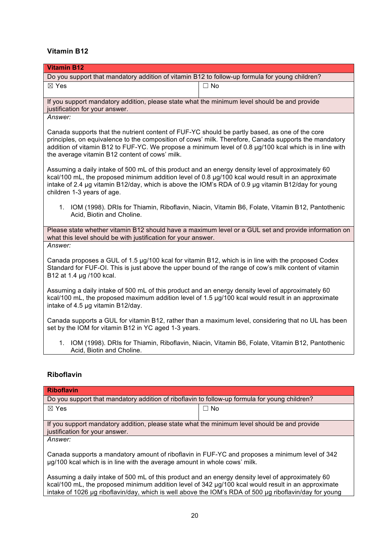# **Vitamin B12**

| <b>Vitamin B12</b>                                                                                                                                                                                                                                                                                                                                                  |                                                                                                      |  |
|---------------------------------------------------------------------------------------------------------------------------------------------------------------------------------------------------------------------------------------------------------------------------------------------------------------------------------------------------------------------|------------------------------------------------------------------------------------------------------|--|
| Do you support that mandatory addition of vitamin B12 to follow-up formula for young children?                                                                                                                                                                                                                                                                      |                                                                                                      |  |
| ⊠ Yes                                                                                                                                                                                                                                                                                                                                                               | $\Box$ No                                                                                            |  |
|                                                                                                                                                                                                                                                                                                                                                                     |                                                                                                      |  |
| If you support mandatory addition, please state what the minimum level should be and provide<br>justification for your answer.                                                                                                                                                                                                                                      |                                                                                                      |  |
| Answer:                                                                                                                                                                                                                                                                                                                                                             |                                                                                                      |  |
| Canada supports that the nutrient content of FUF-YC should be partly based, as one of the core<br>principles, on equivalence to the composition of cows' milk. Therefore, Canada supports the mandatory<br>addition of vitamin B12 to FUF-YC. We propose a minimum level of 0.8 µg/100 kcal which is in line with<br>the average vitamin B12 content of cows' milk. |                                                                                                      |  |
| Assuming a daily intake of 500 mL of this product and an energy density level of approximately 60<br>kcal/100 mL, the proposed minimum addition level of 0.8 $\mu$ g/100 kcal would result in an approximate<br>intake of 2.4 µg vitamin B12/day, which is above the IOM's RDA of 0.9 µg vitamin B12/day for young<br>children 1-3 years of age.                    |                                                                                                      |  |
| Acid, Biotin and Choline.                                                                                                                                                                                                                                                                                                                                           | 1. IOM (1998). DRIs for Thiamin, Riboflavin, Niacin, Vitamin B6, Folate, Vitamin B12, Pantothenic    |  |
| what this level should be with justification for your answer.                                                                                                                                                                                                                                                                                                       | Please state whether vitamin B12 should have a maximum level or a GUL set and provide information on |  |
| Answer:                                                                                                                                                                                                                                                                                                                                                             |                                                                                                      |  |
| Canada proposes a GUL of 1.5 µg/100 kcal for vitamin B12, which is in line with the proposed Codex<br>Standard for FUF-OI. This is just above the upper bound of the range of cow's milk content of vitamin<br>B12 at 1.4 µg /100 kcal.                                                                                                                             |                                                                                                      |  |
| Assuming a daily intake of 500 mL of this product and an energy density level of approximately 60<br>kcal/100 mL, the proposed maximum addition level of 1.5 µg/100 kcal would result in an approximate<br>intake of 4.5 µg vitamin B12/day.                                                                                                                        |                                                                                                      |  |
| Canada supports a GUL for vitamin B12, rather than a maximum level, considering that no UL has been<br>set by the IOM for vitamin B12 in YC aged 1-3 years.                                                                                                                                                                                                         |                                                                                                      |  |
| 1.<br>Acid, Biotin and Choline.                                                                                                                                                                                                                                                                                                                                     | IOM (1998). DRIs for Thiamin, Riboflavin, Niacin, Vitamin B6, Folate, Vitamin B12, Pantothenic       |  |

# **Riboflavin**

| <b>Riboflavin</b>                                                                                                                                                           |           |  |
|-----------------------------------------------------------------------------------------------------------------------------------------------------------------------------|-----------|--|
| Do you support that mandatory addition of riboflavin to follow-up formula for young children?                                                                               |           |  |
| $\boxtimes$ Yes                                                                                                                                                             | $\Box$ No |  |
|                                                                                                                                                                             |           |  |
| If you support mandatory addition, please state what the minimum level should be and provide<br>justification for your answer.                                              |           |  |
| Answer:                                                                                                                                                                     |           |  |
| Canada supports a mandatory amount of riboflavin in FUF-YC and proposes a minimum level of 342<br>ug/100 kcal which is in line with the average amount in whole cows' milk. |           |  |
| Assuming a daily intake of 500 mL of this product and an energy density level of approximately 60                                                                           |           |  |

Assuming a daily intake of 500 mL of this product and an energy density level of approximately 60 kcal/100 mL, the proposed minimum addition level of 342 µg/100 kcal would result in an approximate intake of 1026 µg riboflavin/day, which is well above the IOM's RDA of 500 µg riboflavin/day for young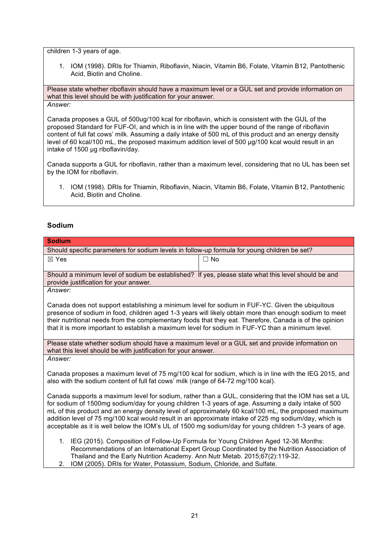children 1-3 years of age.

1. IOM (1998). DRIs for Thiamin, Riboflavin, Niacin, Vitamin B6, Folate, Vitamin B12, Pantothenic Acid, Biotin and Choline.

Please state whether riboflavin should have a maximum level or a GUL set and provide information on what this level should be with justification for your answer. *Answer:*

Canada proposes a GUL of 500ug/100 kcal for riboflavin, which is consistent with the GUL of the proposed Standard for FUF-OI, and which is in line with the upper bound of the range of riboflavin content of full fat cows' milk. Assuming a daily intake of 500 mL of this product and an energy density level of 60 kcal/100 mL, the proposed maximum addition level of 500 µg/100 kcal would result in an intake of 1500 µg riboflavin/day.

Canada supports a GUL for riboflavin, rather than a maximum level, considering that no UL has been set by the IOM for riboflavin.

1. IOM (1998). DRIs for Thiamin, Riboflavin, Niacin, Vitamin B6, Folate, Vitamin B12, Pantothenic Acid, Biotin and Choline.

## **Sodium**

| <b>Sodium</b>                                                                                                                                                                                                   |                                                                                              |  |
|-----------------------------------------------------------------------------------------------------------------------------------------------------------------------------------------------------------------|----------------------------------------------------------------------------------------------|--|
| Should specific parameters for sodium levels in follow-up formula for young children be set?                                                                                                                    |                                                                                              |  |
| $\boxtimes$ Yes                                                                                                                                                                                                 | $\Box$ No                                                                                    |  |
|                                                                                                                                                                                                                 |                                                                                              |  |
| Should a minimum level of sodium be established? If yes, please state what this level should be and<br>provide justification for your answer.                                                                   |                                                                                              |  |
| Answer:                                                                                                                                                                                                         |                                                                                              |  |
|                                                                                                                                                                                                                 |                                                                                              |  |
| Canada does not support establishing a minimum level for sodium in FUF-YC. Given the ubiquitous                                                                                                                 |                                                                                              |  |
| presence of sodium in food, children aged 1-3 years will likely obtain more than enough sodium to meet                                                                                                          |                                                                                              |  |
| their nutritional needs from the complementary foods that they eat. Therefore, Canada is of the opinion                                                                                                         |                                                                                              |  |
| that it is more important to establish a maximum level for sodium in FUF-YC than a minimum level.                                                                                                               |                                                                                              |  |
| Please state whether sodium should have a maximum level or a GUL set and provide information on                                                                                                                 |                                                                                              |  |
| what this level should be with justification for your answer.                                                                                                                                                   |                                                                                              |  |
| Answer:                                                                                                                                                                                                         |                                                                                              |  |
|                                                                                                                                                                                                                 |                                                                                              |  |
| Canada proposes a maximum level of 75 mg/100 kcal for sodium, which is in line with the IEG 2015, and<br>also with the sodium content of full fat cows' milk (range of 64-72 mg/100 kcal).                      |                                                                                              |  |
|                                                                                                                                                                                                                 |                                                                                              |  |
| Canada supports a maximum level for sodium, rather than a GUL, considering that the IOM has set a UL                                                                                                            |                                                                                              |  |
| for sodium of 1500mg sodium/day for young children 1-3 years of age. Assuming a daily intake of 500                                                                                                             |                                                                                              |  |
| mL of this product and an energy density level of approximately 60 kcal/100 mL, the proposed maximum                                                                                                            |                                                                                              |  |
| addition level of 75 mg/100 kcal would result in an approximate intake of 225 mg sodium/day, which is<br>acceptable as it is well below the IOM's UL of 1500 mg sodium/day for young children 1-3 years of age. |                                                                                              |  |
|                                                                                                                                                                                                                 |                                                                                              |  |
| 1. IEG (2015). Composition of Follow-Up Formula for Young Children Aged 12-36 Months:                                                                                                                           |                                                                                              |  |
|                                                                                                                                                                                                                 | Recommendations of an International Expert Group Coordinated by the Nutrition Association of |  |
| Thailand and the Early Nutrition Academy. Ann Nutr Metab. 2015;67(2):119-32.                                                                                                                                    |                                                                                              |  |
| IOM (2005). DRIs for Water, Potassium, Sodium, Chloride, and Sulfate.<br>2.                                                                                                                                     |                                                                                              |  |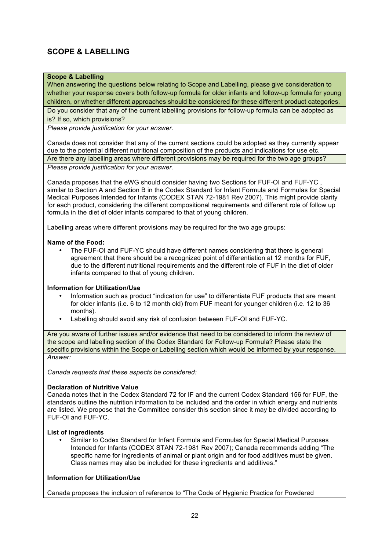# **SCOPE & LABELLING**

# **Scope & Labelling**

When answering the questions below relating to Scope and Labelling, please give consideration to whether your response covers both follow-up formula for older infants and follow-up formula for young children, or whether different approaches should be considered for these different product categories. Do you consider that any of the current labelling provisions for follow-up formula can be adopted as is? If so, which provisions?

*Please provide justification for your answer.*

Canada does not consider that any of the current sections could be adopted as they currently appear due to the potential different nutritional composition of the products and indications for use etc. Are there any labelling areas where different provisions may be required for the two age groups?

*Please provide justification for your answer.*

Canada proposes that the eWG should consider having two Sections for FUF-OI and FUF-YC , similar to Section A and Section B in the Codex Standard for Infant Formula and Formulas for Special Medical Purposes Intended for Infants (CODEX STAN 72-1981 Rev 2007). This might provide clarity for each product, considering the different compositional requirements and different role of follow up formula in the diet of older infants compared to that of young children.

Labelling areas where different provisions may be required for the two age groups:

### **Name of the Food:**

• The FUF-OI and FUF-YC should have different names considering that there is general agreement that there should be a recognized point of differentiation at 12 months for FUF, due to the different nutritional requirements and the different role of FUF in the diet of older infants compared to that of young children.

### **Information for Utilization/Use**

- Information such as product "indication for use" to differentiate FUF products that are meant for older infants (i.e. 6 to 12 month old) from FUF meant for younger children (i.e. 12 to 36 months).
- Labelling should avoid any risk of confusion between FUF-OI and FUF-YC.

Are you aware of further issues and/or evidence that need to be considered to inform the review of the scope and labelling section of the Codex Standard for Follow-up Formula? Please state the specific provisions within the Scope or Labelling section which would be informed by your response. *Answer:*

*Canada requests that these aspects be considered:*

#### **Declaration of Nutritive Value**

Canada notes that in the Codex Standard 72 for IF and the current Codex Standard 156 for FUF, the standards outline the nutrition information to be included and the order in which energy and nutrients are listed. We propose that the Committee consider this section since it may be divided according to FUF-OI and FUF-YC.

### **List of ingredients**

• Similar to Codex Standard for Infant Formula and Formulas for Special Medical Purposes Intended for Infants (CODEX STAN 72-1981 Rev 2007); Canada recommends adding "The specific name for ingredients of animal or plant origin and for food additives must be given. Class names may also be included for these ingredients and additives."

### **Information for Utilization/Use**

Canada proposes the inclusion of reference to "The Code of Hygienic Practice for Powdered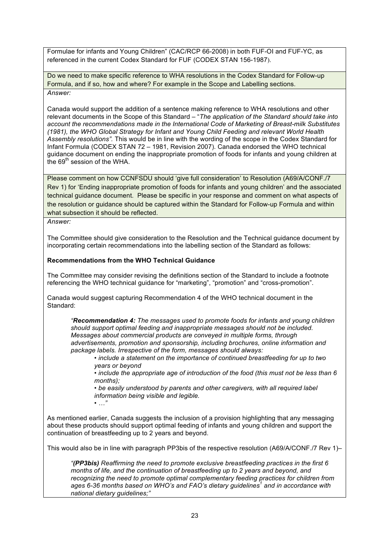Formulae for infants and Young Children" (CAC/RCP 66-2008) in both FUF-OI and FUF-YC, as referenced in the current Codex Standard for FUF (CODEX STAN 156-1987).

Do we need to make specific reference to WHA resolutions in the Codex Standard for Follow-up Formula, and if so, how and where? For example in the Scope and Labelling sections. *Answer:*

Canada would support the addition of a sentence making reference to WHA resolutions and other relevant documents in the Scope of this Standard – "*The application of the Standard should take into account the recommendations made in the International Code of Marketing of Breast-milk Substitutes (1981), the WHO Global Strategy for Infant and Young Child Feeding and relevant World Health Assembly resolutions".* This would be in line with the wording of the scope in the Codex Standard for Infant Formula (CODEX STAN 72 – 1981, Revision 2007). Canada endorsed the WHO technical guidance document on ending the inappropriate promotion of foods for infants and young children at the  $69<sup>th</sup>$  session of the WHA.

Please comment on how CCNFSDU should 'give full consideration' to Resolution (A69/A/CONF./7 Rev 1) for 'Ending inappropriate promotion of foods for infants and young children' and the associated technical guidance document. Please be specific in your response and comment on what aspects of the resolution or guidance should be captured within the Standard for Follow-up Formula and within what subsection it should be reflected.

*Answer:*

The Committee should give consideration to the Resolution and the Technical guidance document by incorporating certain recommendations into the labelling section of the Standard as follows:

## **Recommendations from the WHO Technical Guidance**

The Committee may consider revising the definitions section of the Standard to include a footnote referencing the WHO technical guidance for "marketing", "promotion" and "cross-promotion".

Canada would suggest capturing Recommendation 4 of the WHO technical document in the Standard:

*"Recommendation 4: The messages used to promote foods for infants and young children should support optimal feeding and inappropriate messages should not be included. Messages about commercial products are conveyed in multiple forms, through advertisements, promotion and sponsorship, including brochures, online information and package labels. Irrespective of the form, messages should always:* 

*• include a statement on the importance of continued breastfeeding for up to two years or beyond*

• *include the appropriate age of introduction of the food (this must not be less than 6 months);* 

*• be easily understood by parents and other caregivers, with all required label information being visible and legible.*

*• …"*

As mentioned earlier, Canada suggests the inclusion of a provision highlighting that any messaging about these products should support optimal feeding of infants and young children and support the continuation of breastfeeding up to 2 years and beyond.

This would also be in line with paragraph PP3bis of the respective resolution (A69/A/CONF./7 Rev 1)–

*"(PP3bis) Reaffirming the need to promote exclusive breastfeeding practices in the first 6 months of life, and the continuation of breastfeeding up to 2 years and beyond, and recognizing the need to promote optimal complementary feeding practices for children from ages 6-36 months based on WHO's and FAO's dietary guidelines<sup>1</sup> and in accordance with national dietary guidelines;"*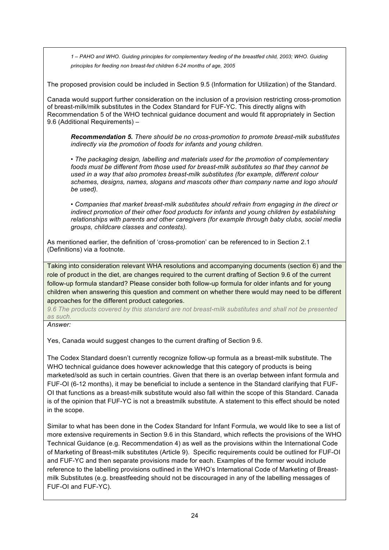*1 – PAHO and WHO. Guiding principles for complementary feeding of the breastfed child, 2003; WHO. Guiding principles for feeding non breast-fed children 6-24 months of age, 2005*

The proposed provision could be included in Section 9.5 (Information for Utilization) of the Standard.

Canada would support further consideration on the inclusion of a provision restricting cross-promotion of breast-milk/milk substitutes in the Codex Standard for FUF-YC. This directly aligns with Recommendation 5 of the WHO technical guidance document and would fit appropriately in Section 9.6 (Additional Requirements) –

*Recommendation 5. There should be no cross-promotion to promote breast-milk substitutes indirectly via the promotion of foods for infants and young children.* 

*• The packaging design, labelling and materials used for the promotion of complementary foods must be different from those used for breast-milk substitutes so that they cannot be used in a way that also promotes breast-milk substitutes (for example, different colour schemes, designs, names, slogans and mascots other than company name and logo should be used).* 

*• Companies that market breast-milk substitutes should refrain from engaging in the direct or indirect promotion of their other food products for infants and young children by establishing relationships with parents and other caregivers (for example through baby clubs, social media groups, childcare classes and contests).*

As mentioned earlier, the definition of 'cross-promotion' can be referenced to in Section 2.1 (Definitions) via a footnote.

Taking into consideration relevant WHA resolutions and accompanying documents (section 6) and the role of product in the diet, are changes required to the current drafting of Section 9.6 of the current follow-up formula standard? Please consider both follow-up formula for older infants and for young children when answering this question and comment on whether there would may need to be different approaches for the different product categories.

*9.6 The products covered by this standard are not breast-milk substitutes and shall not be presented as such.*

*Answer:*

Yes, Canada would suggest changes to the current drafting of Section 9.6.

The Codex Standard doesn't currently recognize follow-up formula as a breast-milk substitute. The WHO technical guidance does however acknowledge that this category of products is being marketed/sold as such in certain countries. Given that there is an overlap between infant formula and FUF-OI (6-12 months), it may be beneficial to include a sentence in the Standard clarifying that FUF-OI that functions as a breast-milk substitute would also fall within the scope of this Standard. Canada is of the opinion that FUF-YC is not a breastmilk substitute. A statement to this effect should be noted in the scope.

Similar to what has been done in the Codex Standard for Infant Formula, we would like to see a list of more extensive requirements in Section 9.6 in this Standard, which reflects the provisions of the WHO Technical Guidance (e.g. Recommendation 4) as well as the provisions within the International Code of Marketing of Breast-milk substitutes (Article 9). Specific requirements could be outlined for FUF-OI and FUF-YC and then separate provisions made for each. Examples of the former would include reference to the labelling provisions outlined in the WHO's International Code of Marketing of Breastmilk Substitutes (e.g. breastfeeding should not be discouraged in any of the labelling messages of FUF-OI and FUF-YC).